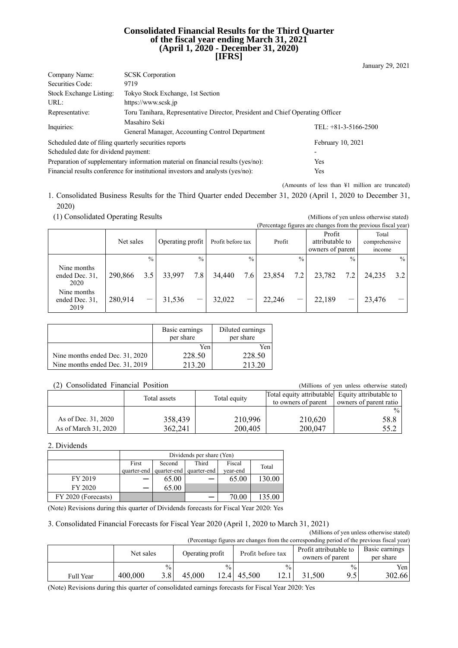#### **Consolidated Financial Results for the Third Quarter of the fiscal year ending March 31, 2021 (April 1, 2020 - December 31, 2020) [IFRS]**

|                                                                                  |                                                                               | January 29, 2021       |
|----------------------------------------------------------------------------------|-------------------------------------------------------------------------------|------------------------|
| Company Name:                                                                    | <b>SCSK</b> Corporation                                                       |                        |
| Securities Code:                                                                 | 9719                                                                          |                        |
| Stock Exchange Listing:                                                          | Tokyo Stock Exchange, 1st Section                                             |                        |
| URL:                                                                             | https://www.scsk.jp                                                           |                        |
| Representative:                                                                  | Toru Tanihara, Representative Director, President and Chief Operating Officer |                        |
| Inquiries:                                                                       | Masahiro Seki<br>General Manager, Accounting Control Department               | TEL: $+81-3-5166-2500$ |
| Scheduled date of filing quarterly securities reports                            |                                                                               | February 10, 2021      |
| Scheduled date for dividend payment:                                             |                                                                               | -                      |
| Preparation of supplementary information material on financial results (yes/no): |                                                                               | <b>Yes</b>             |
| Financial results conference for institutional investors and analysts (yes/no):  |                                                                               | Yes                    |

(Amounts of less than ¥1 million are truncated)

1. Consolidated Business Results for the Third Quarter ended December 31, 2020 (April 1, 2020 to December 31, 2020)

| (1) Consolidated Operating Results    |           |               |                  |               |                   | (Millions of yen unless otherwise stated) |        |               |                                                                |               |                                  |               |
|---------------------------------------|-----------|---------------|------------------|---------------|-------------------|-------------------------------------------|--------|---------------|----------------------------------------------------------------|---------------|----------------------------------|---------------|
|                                       |           |               |                  |               |                   |                                           |        |               | (Percentage figures are changes from the previous fiscal year) |               |                                  |               |
|                                       | Net sales |               | Operating profit |               | Profit before tax |                                           | Profit |               | Profit<br>attributable to<br>owners of parent                  |               | Total<br>comprehensive<br>income |               |
|                                       |           | $\frac{0}{0}$ |                  | $\frac{0}{0}$ |                   | $\frac{0}{0}$                             |        | $\frac{0}{0}$ |                                                                | $\frac{0}{0}$ |                                  | $\frac{0}{0}$ |
| Nine months<br>ended Dec. 31,<br>2020 | 290,866   | 3.5           | 33,997           | 7.8           | 34,440            | 7.6                                       | 23,854 | 7.2           | 23,782                                                         | 7.2           | 24,235                           | 3.2           |
| Nine months<br>ended Dec. 31,<br>2019 | 280.914   |               | 31,536           |               | 32,022            |                                           | 22,246 | —             | 22.189                                                         |               | 23,476                           |               |

|                                 | Basic earnings<br>per share | Diluted earnings<br>per share |
|---------------------------------|-----------------------------|-------------------------------|
|                                 | Yen                         | Yen                           |
| Nine months ended Dec. 31, 2020 | 228.50                      | 228.50                        |
| Nine months ended Dec. 31, 2019 | 213.20                      | 213.20                        |

#### (2) Consolidated Financial Position (Millions of yen unless otherwise stated)

Total assets Total equity Total equity attributable equity attributable to Total equity attributable to Total equity  $\frac{1}{\frac{1}{\frac{1}{\epsilon}} \cdot \frac{1}{\epsilon}}$  attributable to the arrange of parent attacks to the summer of parent rati to owners of parent owners of parent ratio  $\sim$  0% As of Dec. 31, 2020 358,439 358,439 210,996 210,620 58.8 As of March 31, 2020 362,241 200,405 200,047 55.2

2. Dividends

|                     | Dividends per share (Yen) |             |             |          |        |  |  |
|---------------------|---------------------------|-------------|-------------|----------|--------|--|--|
|                     | First                     | Second      | Third       | Fiscal   | Total  |  |  |
|                     | quarter-end               | quarter-end | quarter-end | vear-end |        |  |  |
| FY 2019             |                           | 65.00       |             | 65.00    | 130.00 |  |  |
| FY 2020             |                           | 65.00       |             |          |        |  |  |
| FY 2020 (Forecasts) |                           |             |             | 70.00    | 135.00 |  |  |

(Note) Revisions during this quarter of Dividends forecasts for Fiscal Year 2020: Yes

#### 3. Consolidated Financial Forecasts for Fiscal Year 2020 (April 1, 2020 to March 31, 2021)

(Millions of yen unless otherwise stated) (Percentage figures are changes from the corresponding period of the previous fiscal year)

|                  | Net sales |               | Operating profit |               | Profit before tax |                                     | Profit attributable to<br>owners of parent |               | Basic earnings<br>per share |
|------------------|-----------|---------------|------------------|---------------|-------------------|-------------------------------------|--------------------------------------------|---------------|-----------------------------|
|                  |           | $\frac{0}{0}$ |                  | $\frac{0}{0}$ |                   | $\frac{0}{0}$                       |                                            | $\frac{0}{0}$ | Yen                         |
| <b>Full Year</b> | 400,000   | 3.8           | 45,000           | l 2.4 I       | 45,500            | 1 າ<br>$\pm$ $\angle$ $\cdot$ $\pm$ | .500                                       | ος<br>ر .     | 302.66                      |

(Note) Revisions during this quarter of consolidated earnings forecasts for Fiscal Year 2020: Yes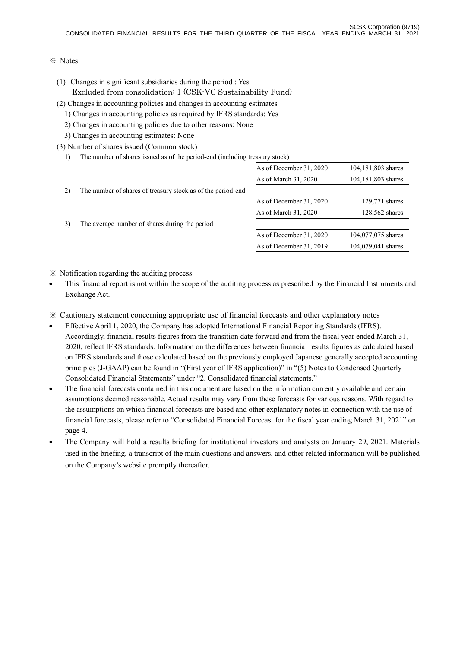### ※ Notes

- (1) Changes in significant subsidiaries during the period : Yes Excluded from consolidation: 1 (CSK-VC Sustainability Fund)
- (2) Changes in accounting policies and changes in accounting estimates
	- 1) Changes in accounting policies as required by IFRS standards: Yes
	- 2) Changes in accounting policies due to other reasons: None
	- 3) Changes in accounting estimates: None
- (3) Number of shares issued (Common stock)
	- 1) The number of shares issued as of the period-end (including treasury stock)

|    |                                                             | As of December 31, 2020 | 104,181,803 shares |
|----|-------------------------------------------------------------|-------------------------|--------------------|
|    |                                                             | As of March 31, 2020    | 104,181,803 shares |
| 2) | The number of shares of treasury stock as of the period-end |                         |                    |
|    |                                                             | As of December 31, 2020 | 129,771 shares     |
|    |                                                             | As of March 31, 2020    | 128,562 shares     |
| 3) | The average number of shares during the period              |                         |                    |
|    |                                                             | As of December 31, 2020 | 104,077,075 shares |
|    |                                                             | As of December 31, 2019 | 104,079,041 shares |
|    |                                                             |                         |                    |

※ Notification regarding the auditing process

- This financial report is not within the scope of the auditing process as prescribed by the Financial Instruments and Exchange Act.
- ※ Cautionary statement concerning appropriate use of financial forecasts and other explanatory notes
- Effective April 1, 2020, the Company has adopted International Financial Reporting Standards (IFRS). Accordingly, financial results figures from the transition date forward and from the fiscal year ended March 31, 2020, reflect IFRS standards. Information on the differences between financial results figures as calculated based on IFRS standards and those calculated based on the previously employed Japanese generally accepted accounting principles (J-GAAP) can be found in "(First year of IFRS application)" in "(5) Notes to Condensed Quarterly Consolidated Financial Statements" under "2. Consolidated financial statements."
- The financial forecasts contained in this document are based on the information currently available and certain assumptions deemed reasonable. Actual results may vary from these forecasts for various reasons. With regard to the assumptions on which financial forecasts are based and other explanatory notes in connection with the use of financial forecasts, please refer to "Consolidated Financial Forecast for the fiscal year ending March 31, 2021" on page 4.
- The Company will hold a results briefing for institutional investors and analysts on January 29, 2021. Materials used in the briefing, a transcript of the main questions and answers, and other related information will be published on the Company's website promptly thereafter.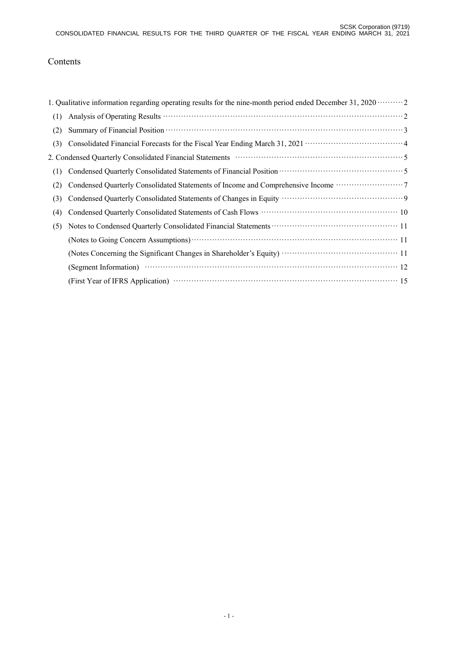# Contents

|     | 1. Qualitative information regarding operating results for the nine-month period ended December 31, 2020 $\cdots \cdots \cdots$ 2 |
|-----|-----------------------------------------------------------------------------------------------------------------------------------|
| (1) |                                                                                                                                   |
| (2) |                                                                                                                                   |
| (3) |                                                                                                                                   |
|     |                                                                                                                                   |
| (1) |                                                                                                                                   |
| (2) | Condensed Quarterly Consolidated Statements of Income and Comprehensive Income ······················ 7                           |
| (3) |                                                                                                                                   |
| (4) |                                                                                                                                   |
| (5) |                                                                                                                                   |
|     | (Notes to Going Concern Assumptions) (2008) (2008) (2008) (2018) (2018) (2018) (2018) (2018) (2018) (2018) (20                    |
|     |                                                                                                                                   |
|     |                                                                                                                                   |
|     |                                                                                                                                   |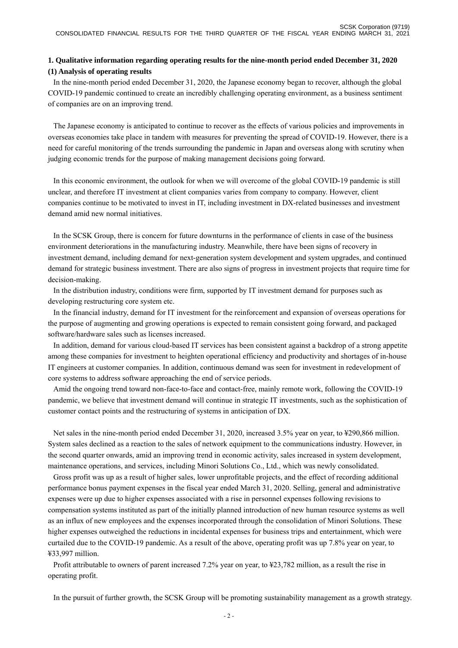# **1. Qualitative information regarding operating results for the nine-month period ended December 31, 2020 (1) Analysis of operating results**

In the nine-month period ended December 31, 2020, the Japanese economy began to recover, although the global COVID-19 pandemic continued to create an incredibly challenging operating environment, as a business sentiment of companies are on an improving trend.

The Japanese economy is anticipated to continue to recover as the effects of various policies and improvements in overseas economies take place in tandem with measures for preventing the spread of COVID-19. However, there is a need for careful monitoring of the trends surrounding the pandemic in Japan and overseas along with scrutiny when judging economic trends for the purpose of making management decisions going forward.

In this economic environment, the outlook for when we will overcome of the global COVID-19 pandemic is still unclear, and therefore IT investment at client companies varies from company to company. However, client companies continue to be motivated to invest in IT, including investment in DX-related businesses and investment demand amid new normal initiatives.

In the SCSK Group, there is concern for future downturns in the performance of clients in case of the business environment deteriorations in the manufacturing industry. Meanwhile, there have been signs of recovery in investment demand, including demand for next-generation system development and system upgrades, and continued demand for strategic business investment. There are also signs of progress in investment projects that require time for decision-making.

In the distribution industry, conditions were firm, supported by IT investment demand for purposes such as developing restructuring core system etc.

In the financial industry, demand for IT investment for the reinforcement and expansion of overseas operations for the purpose of augmenting and growing operations is expected to remain consistent going forward, and packaged software/hardware sales such as licenses increased.

In addition, demand for various cloud-based IT services has been consistent against a backdrop of a strong appetite among these companies for investment to heighten operational efficiency and productivity and shortages of in-house IT engineers at customer companies. In addition, continuous demand was seen for investment in redevelopment of core systems to address software approaching the end of service periods.

Amid the ongoing trend toward non-face-to-face and contact-free, mainly remote work, following the COVID-19 pandemic, we believe that investment demand will continue in strategic IT investments, such as the sophistication of customer contact points and the restructuring of systems in anticipation of DX.

Net sales in the nine-month period ended December 31, 2020, increased 3.5% year on year, to ¥290,866 million. System sales declined as a reaction to the sales of network equipment to the communications industry. However, in the second quarter onwards, amid an improving trend in economic activity, sales increased in system development, maintenance operations, and services, including Minori Solutions Co., Ltd., which was newly consolidated.

Gross profit was up as a result of higher sales, lower unprofitable projects, and the effect of recording additional performance bonus payment expenses in the fiscal year ended March 31, 2020. Selling, general and administrative expenses were up due to higher expenses associated with a rise in personnel expenses following revisions to compensation systems instituted as part of the initially planned introduction of new human resource systems as well as an influx of new employees and the expenses incorporated through the consolidation of Minori Solutions. These higher expenses outweighed the reductions in incidental expenses for business trips and entertainment, which were curtailed due to the COVID-19 pandemic. As a result of the above, operating profit was up 7.8% year on year, to ¥33,997 million.

Profit attributable to owners of parent increased 7.2% year on year, to ¥23,782 million, as a result the rise in operating profit.

In the pursuit of further growth, the SCSK Group will be promoting sustainability management as a growth strategy.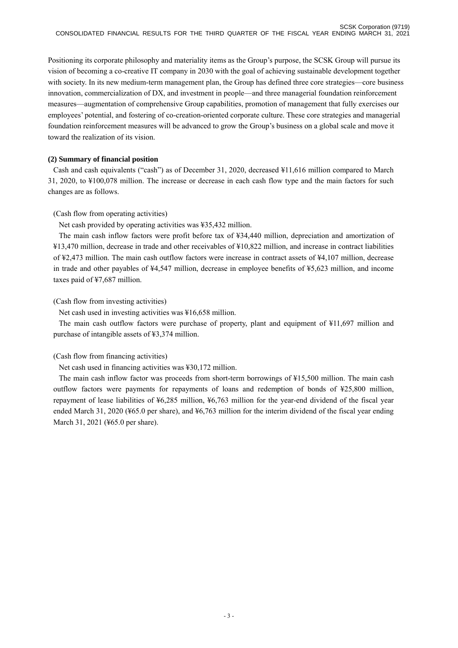Positioning its corporate philosophy and materiality items as the Group's purpose, the SCSK Group will pursue its vision of becoming a co-creative IT company in 2030 with the goal of achieving sustainable development together with society. In its new medium-term management plan, the Group has defined three core strategies—core business innovation, commercialization of DX, and investment in people—and three managerial foundation reinforcement measures—augmentation of comprehensive Group capabilities, promotion of management that fully exercises our employees' potential, and fostering of co-creation-oriented corporate culture. These core strategies and managerial foundation reinforcement measures will be advanced to grow the Group's business on a global scale and move it toward the realization of its vision.

### **(2) Summary of financial position**

Cash and cash equivalents ("cash") as of December 31, 2020, decreased ¥11,616 million compared to March 31, 2020, to ¥100,078 million. The increase or decrease in each cash flow type and the main factors for such changes are as follows.

### (Cash flow from operating activities)

Net cash provided by operating activities was ¥35,432 million.

The main cash inflow factors were profit before tax of ¥34,440 million, depreciation and amortization of ¥13,470 million, decrease in trade and other receivables of ¥10,822 million, and increase in contract liabilities of ¥2,473 million. The main cash outflow factors were increase in contract assets of ¥4,107 million, decrease in trade and other payables of ¥4,547 million, decrease in employee benefits of ¥5,623 million, and income taxes paid of ¥7,687 million.

### (Cash flow from investing activities)

Net cash used in investing activities was ¥16,658 million.

The main cash outflow factors were purchase of property, plant and equipment of ¥11,697 million and purchase of intangible assets of ¥3,374 million.

#### (Cash flow from financing activities)

Net cash used in financing activities was ¥30,172 million.

The main cash inflow factor was proceeds from short-term borrowings of ¥15,500 million. The main cash outflow factors were payments for repayments of loans and redemption of bonds of ¥25,800 million, repayment of lease liabilities of ¥6,285 million, ¥6,763 million for the year-end dividend of the fiscal year ended March 31, 2020 (¥65.0 per share), and ¥6,763 million for the interim dividend of the fiscal year ending March 31, 2021 (¥65.0 per share).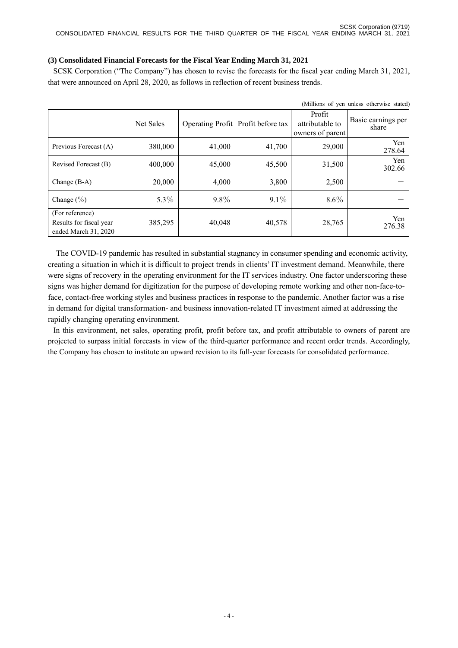### **(3) Consolidated Financial Forecasts for the Fiscal Year Ending March 31, 2021**

SCSK Corporation ("The Company") has chosen to revise the forecasts for the fiscal year ending March 31, 2021, that were announced on April 28, 2020, as follows in reflection of recent business trends.

| (Millions of yen unless otherwise stated)                          |           |         |                                    |                                               |                             |  |  |
|--------------------------------------------------------------------|-----------|---------|------------------------------------|-----------------------------------------------|-----------------------------|--|--|
|                                                                    | Net Sales |         | Operating Profit Profit before tax | Profit<br>attributable to<br>owners of parent | Basic earnings per<br>share |  |  |
| Previous Forecast (A)                                              | 380,000   | 41,000  | 41,700                             | 29,000                                        | Yen<br>278.64               |  |  |
| Revised Forecast (B)                                               | 400,000   | 45,000  | 45,500                             | 31,500                                        | Yen<br>302.66               |  |  |
| Change $(B-A)$                                                     | 20,000    | 4,000   | 3,800                              | 2,500                                         |                             |  |  |
| Change $(\% )$                                                     | 5.3%      | $9.8\%$ | $9.1\%$                            | $8.6\%$                                       |                             |  |  |
| (For reference)<br>Results for fiscal year<br>ended March 31, 2020 | 385,295   | 40,048  | 40,578                             | 28,765                                        | Yen<br>276.38               |  |  |

The COVID-19 pandemic has resulted in substantial stagnancy in consumer spending and economic activity, creating a situation in which it is difficult to project trends in clients' IT investment demand. Meanwhile, there were signs of recovery in the operating environment for the IT services industry. One factor underscoring these signs was higher demand for digitization for the purpose of developing remote working and other non-face-toface, contact-free working styles and business practices in response to the pandemic. Another factor was a rise in demand for digital transformation- and business innovation-related IT investment aimed at addressing the rapidly changing operating environment.

In this environment, net sales, operating profit, profit before tax, and profit attributable to owners of parent are projected to surpass initial forecasts in view of the third-quarter performance and recent order trends. Accordingly, the Company has chosen to institute an upward revision to its full-year forecasts for consolidated performance.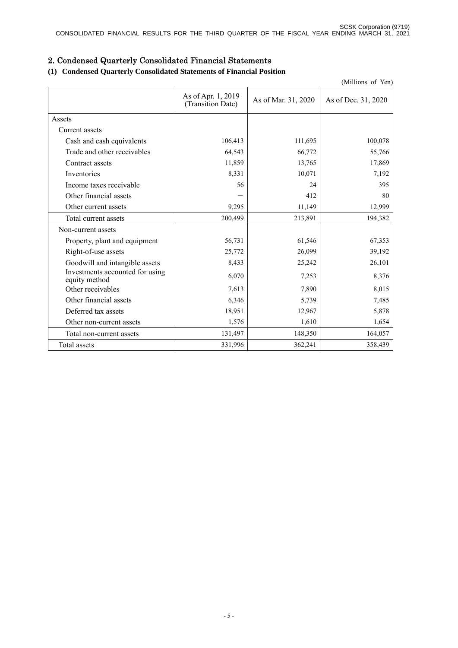# 2. Condensed Quarterly Consolidated Financial Statements

# **(1) Condensed Quarterly Consolidated Statements of Financial Position**

|                                                  |                                         |                     | (Millions of Yen)   |
|--------------------------------------------------|-----------------------------------------|---------------------|---------------------|
|                                                  | As of Apr. 1, 2019<br>(Transition Date) | As of Mar. 31, 2020 | As of Dec. 31, 2020 |
| Assets                                           |                                         |                     |                     |
| Current assets                                   |                                         |                     |                     |
| Cash and cash equivalents                        | 106,413                                 | 111,695             | 100,078             |
| Trade and other receivables                      | 64,543                                  | 66,772              | 55,766              |
| Contract assets                                  | 11,859                                  | 13,765              | 17,869              |
| Inventories                                      | 8,331                                   | 10,071              | 7,192               |
| Income taxes receivable                          | 56                                      | 24                  | 395                 |
| Other financial assets                           |                                         | 412                 | 80                  |
| Other current assets                             | 9,295                                   | 11,149              | 12,999              |
| Total current assets                             | 200,499                                 | 213,891             | 194,382             |
| Non-current assets                               |                                         |                     |                     |
| Property, plant and equipment                    | 56,731                                  | 61,546              | 67,353              |
| Right-of-use assets                              | 25,772                                  | 26,099              | 39,192              |
| Goodwill and intangible assets                   | 8,433                                   | 25,242              | 26,101              |
| Investments accounted for using<br>equity method | 6,070                                   | 7,253               | 8,376               |
| Other receivables                                | 7,613                                   | 7,890               | 8,015               |
| Other financial assets                           | 6,346                                   | 5,739               | 7,485               |
| Deferred tax assets                              | 18,951                                  | 12,967              | 5,878               |
| Other non-current assets                         | 1,576                                   | 1,610               | 1,654               |
| Total non-current assets                         | 131,497                                 | 148,350             | 164,057             |
| Total assets                                     | 331,996                                 | 362,241             | 358,439             |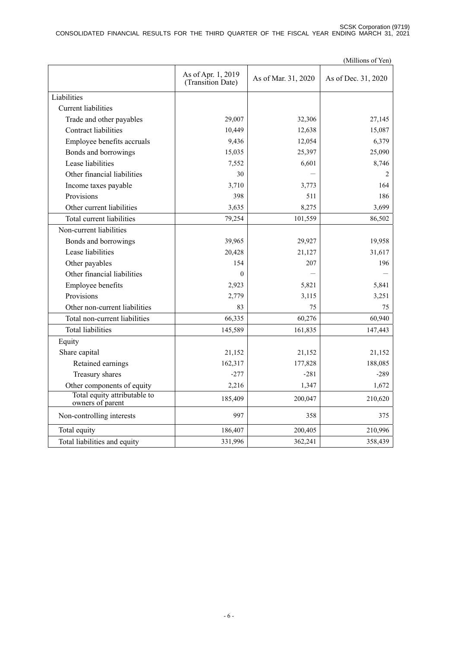SCSK Corporation (9719) CONSOLIDATED FINANCIAL RESULTS FOR THE THIRD QUARTER OF THE FISCAL YEAR ENDING MARCH 31, 2021

|                                                  |                                         |                     | (Millions of Yen)   |
|--------------------------------------------------|-----------------------------------------|---------------------|---------------------|
|                                                  | As of Apr. 1, 2019<br>(Transition Date) | As of Mar. 31, 2020 | As of Dec. 31, 2020 |
| Liabilities                                      |                                         |                     |                     |
| <b>Current liabilities</b>                       |                                         |                     |                     |
| Trade and other payables                         | 29,007                                  | 32,306              | 27,145              |
| <b>Contract liabilities</b>                      | 10,449                                  | 12,638              | 15,087              |
| Employee benefits accruals                       | 9,436                                   | 12,054              | 6,379               |
| Bonds and borrowings                             | 15,035                                  | 25,397              | 25,090              |
| Lease liabilities                                | 7,552                                   | 6,601               | 8,746               |
| Other financial liabilities                      | 30                                      |                     | 2                   |
| Income taxes payable                             | 3,710                                   | 3,773               | 164                 |
| Provisions                                       | 398                                     | 511                 | 186                 |
| Other current liabilities                        | 3,635                                   | 8,275               | 3,699               |
| Total current liabilities                        | 79,254                                  | 101,559             | 86,502              |
| Non-current liabilities                          |                                         |                     |                     |
| Bonds and borrowings                             | 39,965                                  | 29,927              | 19,958              |
| Lease liabilities                                | 20,428                                  | 21,127              | 31,617              |
| Other payables                                   | 154                                     | 207                 | 196                 |
| Other financial liabilities                      | $\Omega$                                |                     |                     |
| Employee benefits                                | 2,923                                   | 5,821               | 5,841               |
| Provisions                                       | 2,779                                   | 3,115               | 3,251               |
| Other non-current liabilities                    | 83                                      | 75                  | 75                  |
| Total non-current liabilities                    | 66,335                                  | 60,276              | 60,940              |
| <b>Total liabilities</b>                         | 145,589                                 | 161,835             | 147,443             |
| Equity                                           |                                         |                     |                     |
| Share capital                                    | 21,152                                  | 21,152              | 21,152              |
| Retained earnings                                | 162,317                                 | 177,828             | 188,085             |
| Treasury shares                                  | $-277$                                  | $-281$              | $-289$              |
| Other components of equity                       | 2,216                                   | 1,347               | 1,672               |
| Total equity attributable to<br>owners of parent | 185,409                                 | 200,047             | 210,620             |
| Non-controlling interests                        | 997                                     | 358                 | 375                 |
| Total equity                                     | 186,407                                 | 200,405             | 210,996             |
| Total liabilities and equity                     | 331,996                                 | 362,241             | 358,439             |

- 6 -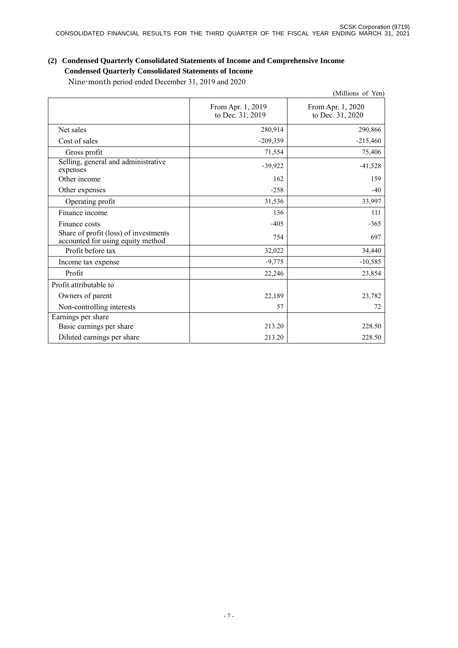# **(2) Condensed Quarterly Consolidated Statements of Income and Comprehensive Income Condensed Quarterly Consolidated Statements of Income**

|                                                                            |                                       | (Millions of Yen)                     |
|----------------------------------------------------------------------------|---------------------------------------|---------------------------------------|
|                                                                            | From Apr. 1, 2019<br>to Dec. 31, 2019 | From Apr. 1, 2020<br>to Dec. 31, 2020 |
| Net sales                                                                  | 280,914                               | 290,866                               |
| Cost of sales                                                              | $-209,359$                            | $-215,460$                            |
| Gross profit                                                               | 71,554                                | 75,406                                |
| Selling, general and administrative<br>expenses                            | $-39,922$                             | $-41,528$                             |
| Other income                                                               | 162                                   | 159                                   |
| Other expenses                                                             | $-258$                                | $-40$                                 |
| Operating profit                                                           | 31,536                                | 33,997                                |
| Finance income                                                             | 136                                   | 111                                   |
| Finance costs                                                              | $-405$                                | $-365$                                |
| Share of profit (loss) of investments<br>accounted for using equity method | 754                                   | 697                                   |
| Profit before tax                                                          | 32,022                                | 34,440                                |
| Income tax expense                                                         | $-9,775$                              | $-10,585$                             |
| Profit                                                                     | 22,246                                | 23,854                                |
| Profit attributable to                                                     |                                       |                                       |
| Owners of parent                                                           | 22,189                                | 23,782                                |
| Non-controlling interests                                                  | 57                                    | 72                                    |
| Earnings per share                                                         |                                       |                                       |
| Basic earnings per share                                                   | 213.20                                | 228.50                                |
| Diluted earnings per share                                                 | 213.20                                | 228.50                                |

Nine-month period ended December 31, 2019 and 2020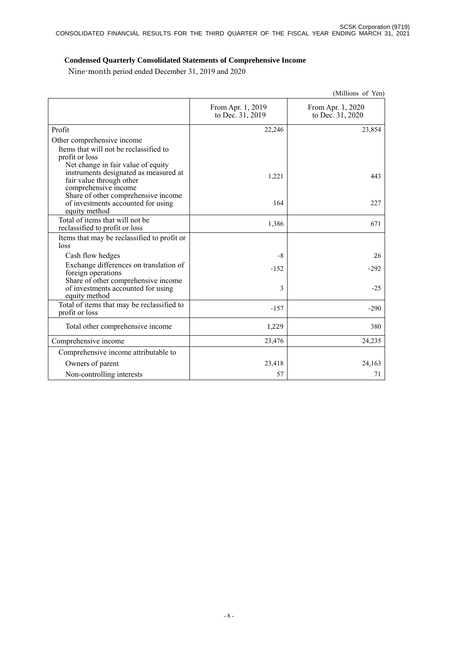# **Condensed Quarterly Consolidated Statements of Comprehensive Income**

Nine-month period ended December 31, 2019 and 2020

|                                                                                                                                 |                                       | (Millions of Yen)                     |
|---------------------------------------------------------------------------------------------------------------------------------|---------------------------------------|---------------------------------------|
|                                                                                                                                 | From Apr. 1, 2019<br>to Dec. 31, 2019 | From Apr. 1, 2020<br>to Dec. 31, 2020 |
| Profit                                                                                                                          | 22,246                                | 23,854                                |
| Other comprehensive income                                                                                                      |                                       |                                       |
| Items that will not be reclassified to<br>profit or loss                                                                        |                                       |                                       |
| Net change in fair value of equity<br>instruments designated as measured at<br>fair value through other<br>comprehensive income | 1,221                                 | 443                                   |
| Share of other comprehensive income<br>of investments accounted for using<br>equity method                                      | 164                                   | 227                                   |
| Total of items that will not be<br>reclassified to profit or loss                                                               | 1,386                                 | 671                                   |
| Items that may be reclassified to profit or<br>loss                                                                             |                                       |                                       |
| Cash flow hedges                                                                                                                | $-8$                                  | 26                                    |
| Exchange differences on translation of<br>foreign operations                                                                    | $-152$                                | $-292$                                |
| Share of other comprehensive income<br>of investments accounted for using<br>equity method                                      | 3                                     | $-25$                                 |
| Total of items that may be reclassified to<br>profit or loss                                                                    | $-157$                                | $-290$                                |
| Total other comprehensive income                                                                                                | 1,229                                 | 380                                   |
| Comprehensive income                                                                                                            | 23,476                                | 24,235                                |
| Comprehensive income attributable to                                                                                            |                                       |                                       |
| Owners of parent                                                                                                                | 23,418                                | 24,163                                |
| Non-controlling interests                                                                                                       | 57                                    | 71                                    |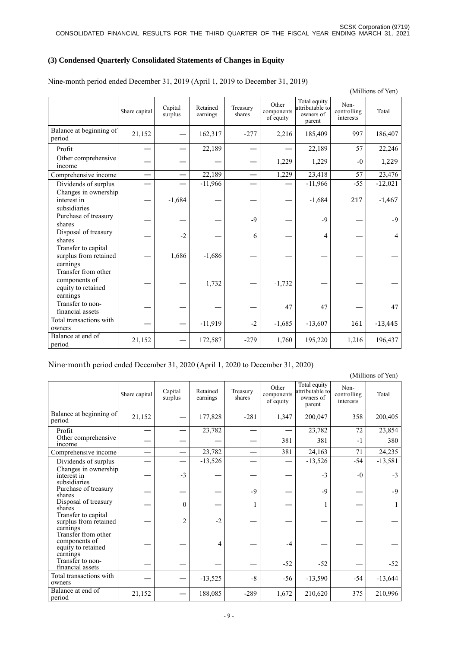# **(3) Condensed Quarterly Consolidated Statements of Changes in Equity**

|                                                                        |               |                    |                      |                    |                                  |                                                        |                                  | (Millions of Yen) |
|------------------------------------------------------------------------|---------------|--------------------|----------------------|--------------------|----------------------------------|--------------------------------------------------------|----------------------------------|-------------------|
|                                                                        | Share capital | Capital<br>surplus | Retained<br>earnings | Treasury<br>shares | Other<br>components<br>of equity | Total equity<br>attributable to<br>owners of<br>parent | Non-<br>controlling<br>interests | Total             |
| Balance at beginning of<br>period                                      | 21,152        |                    | 162,317              | $-277$             | 2,216                            | 185,409                                                | 997                              | 186,407           |
| Profit                                                                 |               |                    | 22,189               |                    |                                  | 22,189                                                 | 57                               | 22,246            |
| Other comprehensive<br>income                                          |               |                    |                      |                    | 1,229                            | 1,229                                                  | $-0$                             | 1,229             |
| Comprehensive income                                                   |               |                    | 22,189               |                    | 1,229                            | 23,418                                                 | 57                               | 23,476            |
| Dividends of surplus                                                   |               |                    | $-11,966$            |                    |                                  | $-11,966$                                              | $-55$                            | $-12,021$         |
| Changes in ownership<br>interest in<br>subsidiaries                    |               | $-1,684$           |                      |                    |                                  | $-1,684$                                               | 217                              | $-1,467$          |
| Purchase of treasury<br>shares                                         |               |                    |                      | $-9$               |                                  | $-9$                                                   |                                  | $-9$              |
| Disposal of treasury<br>shares                                         |               | $-2$               |                      | 6                  |                                  | 4                                                      |                                  | 4                 |
| Transfer to capital<br>surplus from retained<br>earnings               |               | 1,686              | $-1,686$             |                    |                                  |                                                        |                                  |                   |
| Transfer from other<br>components of<br>equity to retained<br>earnings |               |                    | 1,732                |                    | $-1,732$                         |                                                        |                                  |                   |
| Transfer to non-<br>financial assets                                   |               |                    |                      |                    | 47                               | 47                                                     |                                  | 47                |
| Total transactions with<br>owners                                      |               |                    | $-11,919$            | $-2$               | $-1,685$                         | $-13,607$                                              | 161                              | $-13,445$         |
| Balance at end of<br>period                                            | 21,152        |                    | 172,587              | $-279$             | 1,760                            | 195,220                                                | 1,216                            | 196,437           |

Nine-month period ended December 31, 2019 (April 1, 2019 to December 31, 2019)

# Nine-month period ended December 31, 2020 (April 1, 2020 to December 31, 2020)

(Millions of Yen)

|                                                                        | Share capital | Capital<br>surplus | Retained<br>earnings | Treasury<br>shares | Other<br>components<br>of equity | Total equity<br>attributable to<br>owners of<br>parent | Non-<br>controlling<br>interests | Total     |
|------------------------------------------------------------------------|---------------|--------------------|----------------------|--------------------|----------------------------------|--------------------------------------------------------|----------------------------------|-----------|
| Balance at beginning of<br>period                                      | 21,152        |                    | 177,828              | $-281$             | 1,347                            | 200,047                                                | 358                              | 200,405   |
| Profit                                                                 |               |                    | 23,782               |                    |                                  | 23,782                                                 | 72                               | 23,854    |
| Other comprehensive<br>income                                          |               |                    |                      |                    | 381                              | 381                                                    | $-1$                             | 380       |
| Comprehensive income                                                   |               |                    | 23,782               |                    | 381                              | 24,163                                                 | 71                               | 24,235    |
| Dividends of surplus                                                   |               |                    | $-13,526$            |                    |                                  | $-13,526$                                              | $-54$                            | $-13,581$ |
| Changes in ownership<br>interest in<br>subsidiaries                    |               | $-3$               |                      |                    |                                  | $-3$                                                   | $-0$                             | $-3$      |
| Purchase of treasury<br>shares                                         |               |                    |                      | $-9$               |                                  | $-9$                                                   |                                  | $-9$      |
| Disposal of treasury<br>shares                                         |               | $\Omega$           |                      |                    |                                  |                                                        |                                  |           |
| Transfer to capital<br>surplus from retained<br>earnings               |               | $\overline{2}$     | $-2$                 |                    |                                  |                                                        |                                  |           |
| Transfer from other<br>components of<br>equity to retained<br>earnings |               |                    | 4                    |                    | $-4$                             |                                                        |                                  |           |
| Transfer to non-<br>financial assets                                   |               |                    |                      |                    | $-52$                            | $-52$                                                  |                                  | $-52$     |
| Total transactions with<br>owners                                      |               |                    | $-13,525$            | $-8$               | $-56$                            | $-13,590$                                              | $-54$                            | $-13,644$ |
| Balance at end of<br>period                                            | 21,152        |                    | 188,085              | $-289$             | 1,672                            | 210,620                                                | 375                              | 210,996   |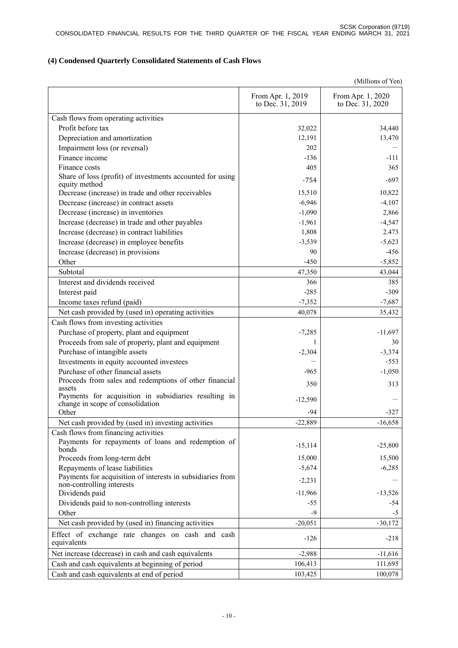# **(4) Condensed Quarterly Consolidated Statements of Cash Flows**

|                                                                                                     |                                       | (Millions of Yen)                     |
|-----------------------------------------------------------------------------------------------------|---------------------------------------|---------------------------------------|
|                                                                                                     | From Apr. 1, 2019<br>to Dec. 31, 2019 | From Apr. 1, 2020<br>to Dec. 31, 2020 |
| Cash flows from operating activities                                                                |                                       |                                       |
| Profit before tax                                                                                   | 32,022                                | 34,440                                |
| Depreciation and amortization                                                                       | 12,191                                | 13,470                                |
| Impairment loss (or reversal)                                                                       | 202                                   |                                       |
| Finance income                                                                                      | $-136$                                | $-111$                                |
| Finance costs                                                                                       | 405                                   | 365                                   |
| Share of loss (profit) of investments accounted for using<br>equity method                          | $-754$                                | $-697$                                |
| Decrease (increase) in trade and other receivables                                                  | 15,510                                | 10,822                                |
| Decrease (increase) in contract assets                                                              | $-6,946$                              | $-4,107$                              |
| Decrease (increase) in inventories                                                                  | $-1,090$                              | 2,866                                 |
| Increase (decrease) in trade and other payables                                                     | $-1,961$                              | $-4,547$                              |
| Increase (decrease) in contract liabilities                                                         | 1,808                                 | 2.473                                 |
| Increase (decrease) in employee benefits                                                            | $-3,539$                              | $-5,623$                              |
| Increase (decrease) in provisions                                                                   | 90                                    | $-456$                                |
| Other                                                                                               | $-450$                                | $-5,852$                              |
| Subtotal                                                                                            | 47,350                                | 43,044                                |
| Interest and dividends received                                                                     | 366                                   | 385                                   |
| Interest paid                                                                                       | $-285$                                | $-309$                                |
| Income taxes refund (paid)                                                                          | $-7,352$                              | $-7,687$                              |
| Net cash provided by (used in) operating activities                                                 | 40,078                                | 35,432                                |
| Cash flows from investing activities                                                                |                                       |                                       |
| Purchase of property, plant and equipment                                                           | $-7,285$                              | $-11,697$                             |
| Proceeds from sale of property, plant and equipment                                                 | 1                                     | 30                                    |
| Purchase of intangible assets                                                                       | $-2,304$                              | $-3,374$                              |
| Investments in equity accounted investees                                                           |                                       | $-553$                                |
| Purchase of other financial assets                                                                  | $-965$                                | $-1,050$                              |
| Proceeds from sales and redemptions of other financial<br>assets                                    | 350                                   | 313                                   |
| Payments for acquisition in subsidiaries resulting in<br>change in scope of consolidation           | $-12,590$                             |                                       |
| Other                                                                                               | $-94$                                 | -327                                  |
| Net cash provided by (used in) investing activities                                                 | $-22,889$                             | $-16,658$                             |
| Cash flows from financing activities<br>Payments for repayments of loans and redemption of<br>bonds | $-15,114$                             | $-25,800$                             |
| Proceeds from long-term debt                                                                        | 15,000                                | 15,500                                |
| Repayments of lease liabilities                                                                     | $-5,674$                              | $-6,285$                              |
| Payments for acquisition of interests in subsidiaries from                                          |                                       |                                       |
| non-controlling interests                                                                           | $-2,231$                              |                                       |
| Dividends paid                                                                                      | $-11,966$                             | $-13,526$                             |
| Dividends paid to non-controlling interests                                                         | -55                                   | -54                                   |
| Other                                                                                               | -9                                    | -5                                    |
| Net cash provided by (used in) financing activities                                                 | $-20,051$                             | $-30,172$                             |
| Effect of exchange rate changes on cash and cash<br>equivalents                                     | $-126$                                | $-218$                                |
| Net increase (decrease) in cash and cash equivalents                                                | $-2,988$                              | $-11,616$                             |
| Cash and cash equivalents at beginning of period                                                    | 106,413                               | 111,695                               |
| Cash and cash equivalents at end of period                                                          | 103,425                               | 100,078                               |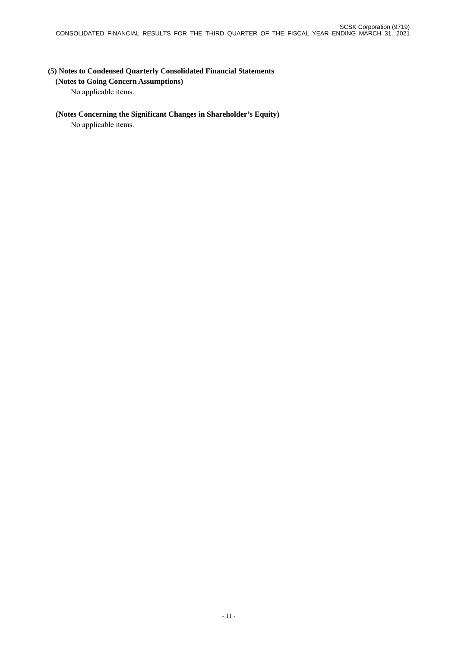# **(5) Notes to Condensed Quarterly Consolidated Financial Statements**

#### **(Notes to Going Concern Assumptions)**

No applicable items.

# **(Notes Concerning the Significant Changes in Shareholder's Equity)**

No applicable items.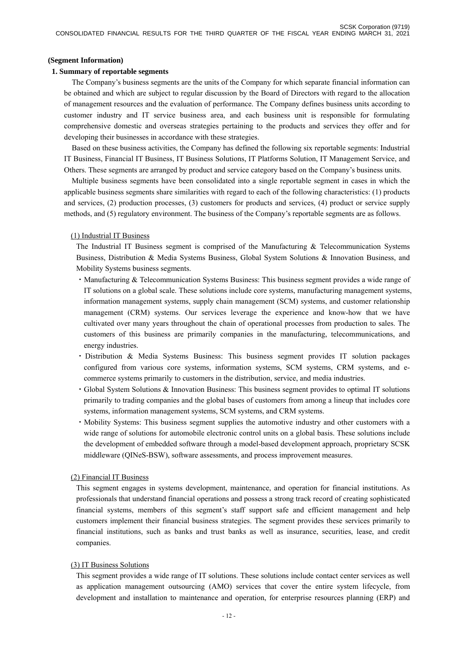#### **(Segment Information)**

#### **1. Summary of reportable segments**

The Company's business segments are the units of the Company for which separate financial information can be obtained and which are subject to regular discussion by the Board of Directors with regard to the allocation of management resources and the evaluation of performance. The Company defines business units according to customer industry and IT service business area, and each business unit is responsible for formulating comprehensive domestic and overseas strategies pertaining to the products and services they offer and for developing their businesses in accordance with these strategies.

Based on these business activities, the Company has defined the following six reportable segments: Industrial IT Business, Financial IT Business, IT Business Solutions, IT Platforms Solution, IT Management Service, and Others. These segments are arranged by product and service category based on the Company's business units.

Multiple business segments have been consolidated into a single reportable segment in cases in which the applicable business segments share similarities with regard to each of the following characteristics: (1) products and services, (2) production processes, (3) customers for products and services, (4) product or service supply methods, and (5) regulatory environment. The business of the Company's reportable segments are as follows.

#### (1) Industrial IT Business

The Industrial IT Business segment is comprised of the Manufacturing  $\&$  Telecommunication Systems Business, Distribution & Media Systems Business, Global System Solutions & Innovation Business, and Mobility Systems business segments.

- ・Manufacturing & Telecommunication Systems Business: This business segment provides a wide range of IT solutions on a global scale. These solutions include core systems, manufacturing management systems, information management systems, supply chain management (SCM) systems, and customer relationship management (CRM) systems. Our services leverage the experience and know-how that we have cultivated over many years throughout the chain of operational processes from production to sales. The customers of this business are primarily companies in the manufacturing, telecommunications, and energy industries.
- ・Distribution & Media Systems Business: This business segment provides IT solution packages configured from various core systems, information systems, SCM systems, CRM systems, and ecommerce systems primarily to customers in the distribution, service, and media industries.
- ・Global System Solutions & Innovation Business: This business segment provides to optimal IT solutions primarily to trading companies and the global bases of customers from among a lineup that includes core systems, information management systems, SCM systems, and CRM systems.
- ・Mobility Systems: This business segment supplies the automotive industry and other customers with a wide range of solutions for automobile electronic control units on a global basis. These solutions include the development of embedded software through a model-based development approach, proprietary SCSK middleware (QINeS-BSW), software assessments, and process improvement measures.

#### (2) Financial IT Business

This segment engages in systems development, maintenance, and operation for financial institutions. As professionals that understand financial operations and possess a strong track record of creating sophisticated financial systems, members of this segment's staff support safe and efficient management and help customers implement their financial business strategies. The segment provides these services primarily to financial institutions, such as banks and trust banks as well as insurance, securities, lease, and credit companies.

#### (3) IT Business Solutions

This segment provides a wide range of IT solutions. These solutions include contact center services as well as application management outsourcing (AMO) services that cover the entire system lifecycle, from development and installation to maintenance and operation, for enterprise resources planning (ERP) and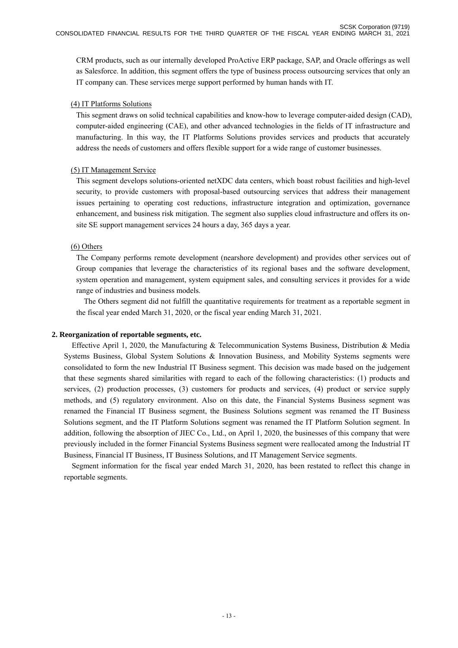CRM products, such as our internally developed ProActive ERP package, SAP, and Oracle offerings as well as Salesforce. In addition, this segment offers the type of business process outsourcing services that only an IT company can. These services merge support performed by human hands with IT.

# (4) IT Platforms Solutions

This segment draws on solid technical capabilities and know-how to leverage computer-aided design (CAD), computer-aided engineering (CAE), and other advanced technologies in the fields of IT infrastructure and manufacturing. In this way, the IT Platforms Solutions provides services and products that accurately address the needs of customers and offers flexible support for a wide range of customer businesses.

# (5) IT Management Service

This segment develops solutions-oriented netXDC data centers, which boast robust facilities and high-level security, to provide customers with proposal-based outsourcing services that address their management issues pertaining to operating cost reductions, infrastructure integration and optimization, governance enhancement, and business risk mitigation. The segment also supplies cloud infrastructure and offers its onsite SE support management services 24 hours a day, 365 days a year.

# (6) Others

The Company performs remote development (nearshore development) and provides other services out of Group companies that leverage the characteristics of its regional bases and the software development, system operation and management, system equipment sales, and consulting services it provides for a wide range of industries and business models.

The Others segment did not fulfill the quantitative requirements for treatment as a reportable segment in the fiscal year ended March 31, 2020, or the fiscal year ending March 31, 2021.

# **2. Reorganization of reportable segments, etc.**

Effective April 1, 2020, the Manufacturing & Telecommunication Systems Business, Distribution & Media Systems Business, Global System Solutions & Innovation Business, and Mobility Systems segments were consolidated to form the new Industrial IT Business segment. This decision was made based on the judgement that these segments shared similarities with regard to each of the following characteristics: (1) products and services, (2) production processes, (3) customers for products and services, (4) product or service supply methods, and (5) regulatory environment. Also on this date, the Financial Systems Business segment was renamed the Financial IT Business segment, the Business Solutions segment was renamed the IT Business Solutions segment, and the IT Platform Solutions segment was renamed the IT Platform Solution segment. In addition, following the absorption of JIEC Co., Ltd., on April 1, 2020, the businesses of this company that were previously included in the former Financial Systems Business segment were reallocated among the Industrial IT Business, Financial IT Business, IT Business Solutions, and IT Management Service segments.

Segment information for the fiscal year ended March 31, 2020, has been restated to reflect this change in reportable segments.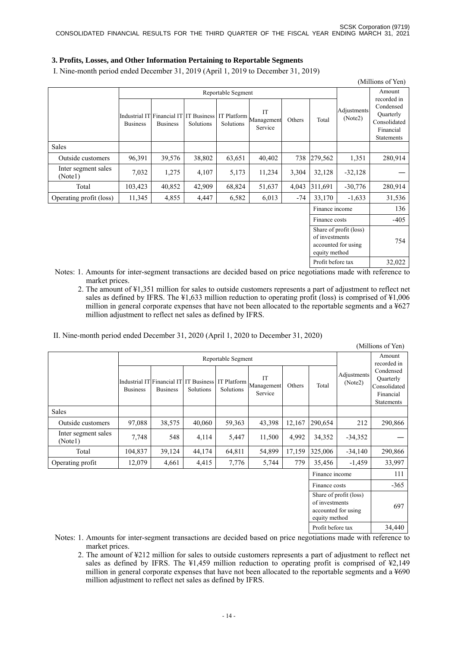# **3. Profits, Losses, and Other Information Pertaining to Reportable Segments**

I. Nine-month period ended December 31, 2019 (April 1, 2019 to December 31, 2019)

| (Millions of Yen)              |                 |                                                                       |           |                    |                                    |        |                                 |                                               |                                                                                         |  |  |
|--------------------------------|-----------------|-----------------------------------------------------------------------|-----------|--------------------|------------------------------------|--------|---------------------------------|-----------------------------------------------|-----------------------------------------------------------------------------------------|--|--|
|                                |                 |                                                                       |           | Reportable Segment |                                    |        |                                 |                                               | Amount                                                                                  |  |  |
|                                | <b>Business</b> | Industrial IT Financial IT IT Business IT Platform<br><b>Business</b> | Solutions | Solutions          | <b>IT</b><br>Management<br>Service | Others | Total                           | Adjustments<br>(Note2)                        | recorded in<br>Condensed<br>Quarterly<br>Consolidated<br>Financial<br><b>Statements</b> |  |  |
| <b>Sales</b>                   |                 |                                                                       |           |                    |                                    |        |                                 |                                               |                                                                                         |  |  |
| Outside customers              | 96,391          | 39,576                                                                | 38,802    | 63,651             | 40,402                             | 738    | 279,562                         | 1,351                                         | 280,914                                                                                 |  |  |
| Inter segment sales<br>(Note1) | 7,032           | 1,275                                                                 | 4,107     | 5,173              | 11,234                             | 3,304  | 32,128                          | $-32,128$                                     |                                                                                         |  |  |
| Total                          | 103,423         | 40,852                                                                | 42,909    | 68,824             | 51,637                             | 4,043  | 311,691                         | $-30,776$                                     | 280,914                                                                                 |  |  |
| Operating profit (loss)        | 11,345          | 4,855                                                                 | 4,447     | 6,582              | 6,013                              | $-74$  | 33,170                          | $-1,633$                                      | 31,536                                                                                  |  |  |
|                                |                 |                                                                       |           |                    |                                    |        | Finance income                  |                                               | 136                                                                                     |  |  |
|                                |                 |                                                                       |           |                    |                                    |        | Finance costs                   |                                               | $-405$                                                                                  |  |  |
|                                |                 |                                                                       |           |                    |                                    |        | of investments<br>equity method | Share of profit (loss)<br>accounted for using | 754                                                                                     |  |  |

Notes: 1. Amounts for inter-segment transactions are decided based on price negotiations made with reference to market prices.

Profit before tax 32,022

2. The amount of ¥1,351 million for sales to outside customers represents a part of adjustment to reflect net sales as defined by IFRS. The ¥1,633 million reduction to operating profit (loss) is comprised of ¥1,006 million in general corporate expenses that have not been allocated to the reportable segments and a ¥627 million adjustment to reflect net sales as defined by IFRS.

| (Millions of Yen)                                                                                                                                                                                                                                                   |                 |                                               |           |                                      |                             |        |                                    |                                               |                                                                                  |  |
|---------------------------------------------------------------------------------------------------------------------------------------------------------------------------------------------------------------------------------------------------------------------|-----------------|-----------------------------------------------|-----------|--------------------------------------|-----------------------------|--------|------------------------------------|-----------------------------------------------|----------------------------------------------------------------------------------|--|
|                                                                                                                                                                                                                                                                     |                 |                                               |           | Reportable Segment                   |                             |        |                                    |                                               | Amount                                                                           |  |
|                                                                                                                                                                                                                                                                     | <b>Business</b> | Industrial IT Financial IT<br><b>Business</b> | Solutions | IT Business IT Platform<br>Solutions | IT<br>Management<br>Service | Others | Total                              | Adjustments<br>(Note2)                        | recorded in<br>Condensed<br>Quarterly<br>Consolidated<br>Financial<br>Statements |  |
| <b>Sales</b>                                                                                                                                                                                                                                                        |                 |                                               |           |                                      |                             |        |                                    |                                               |                                                                                  |  |
| Outside customers                                                                                                                                                                                                                                                   | 97,088          | 38,575                                        | 40,060    | 59,363                               | 43,398                      | 12,167 | 290,654                            | 212                                           | 290,866                                                                          |  |
| Inter segment sales<br>(Notel)                                                                                                                                                                                                                                      | 7,748           | 548                                           | 4,114     | 5,447                                | 11,500                      | 4,992  | 34,352                             | $-34,352$                                     |                                                                                  |  |
| Total                                                                                                                                                                                                                                                               | 104,837         | 39,124                                        | 44,174    | 64,811                               | 54,899                      | 17,159 | 325,006                            | $-34,140$                                     | 290,866                                                                          |  |
| Operating profit                                                                                                                                                                                                                                                    | 12,079          | 4,661                                         | 4,415     | 7,776                                | 5,744                       | 779    | 35,456                             | $-1,459$                                      | 33,997                                                                           |  |
|                                                                                                                                                                                                                                                                     |                 |                                               |           |                                      |                             |        | Finance income                     |                                               | 111                                                                              |  |
|                                                                                                                                                                                                                                                                     |                 |                                               |           |                                      |                             |        | Finance costs                      |                                               | $-365$                                                                           |  |
|                                                                                                                                                                                                                                                                     |                 |                                               |           |                                      |                             |        | of investments<br>equity method    | Share of profit (loss)<br>accounted for using | 697                                                                              |  |
| $\mathbf{M}$ . The set of $\mathbf{A}$ is a set of $\mathbf{C}$ is the set of set of $\mathbf{A}$ is a set of $\mathbf{A}$ is a set of $\mathbf{A}$ is a set of $\mathbf{A}$ is a set of $\mathbf{A}$ is a set of $\mathbf{A}$ is a set of $\mathbf{A}$ is a set of |                 |                                               |           |                                      |                             |        | Profit before tax<br>at cat common | $-1$ .                                        | 34,440<br>$\mathcal{L}$ $\mathcal{L}$                                            |  |

II. Nine-month period ended December 31, 2020 (April 1, 2020 to December 31, 2020)

Notes: 1. Amounts for inter-segment transactions are decided based on price negotiations made with reference to market prices.

2. The amount of ¥212 million for sales to outside customers represents a part of adjustment to reflect net sales as defined by IFRS. The ¥1,459 million reduction to operating profit is comprised of ¥2,149 million in general corporate expenses that have not been allocated to the reportable segments and a ¥690 million adjustment to reflect net sales as defined by IFRS.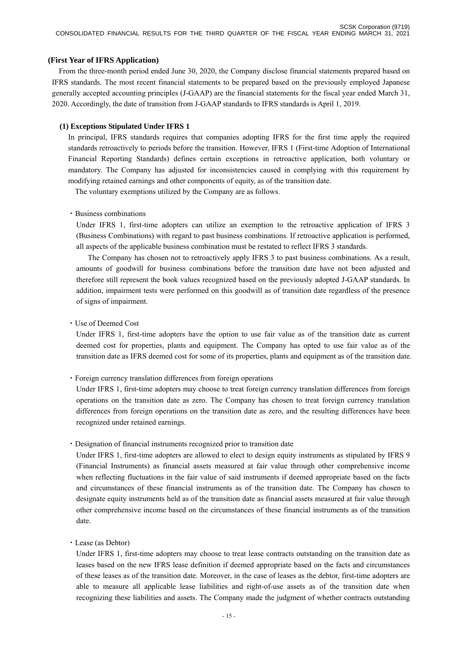### **(First Year of IFRS Application)**

From the three-month period ended June 30, 2020, the Company disclose financial statements prepared based on IFRS standards. The most recent financial statements to be prepared based on the previously employed Japanese generally accepted accounting principles (J-GAAP) are the financial statements for the fiscal year ended March 31, 2020. Accordingly, the date of transition from J-GAAP standards to IFRS standards is April 1, 2019.

### **(1) Exceptions Stipulated Under IFRS 1**

In principal, IFRS standards requires that companies adopting IFRS for the first time apply the required standards retroactively to periods before the transition. However, IFRS 1 (First-time Adoption of International Financial Reporting Standards) defines certain exceptions in retroactive application, both voluntary or mandatory. The Company has adjusted for inconsistencies caused in complying with this requirement by modifying retained earnings and other components of equity, as of the transition date.

The voluntary exemptions utilized by the Company are as follows.

### ・Business combinations

Under IFRS 1, first-time adopters can utilize an exemption to the retroactive application of IFRS 3 (Business Combinations) with regard to past business combinations. If retroactive application is performed, all aspects of the applicable business combination must be restated to reflect IFRS 3 standards.

The Company has chosen not to retroactively apply IFRS 3 to past business combinations. As a result, amounts of goodwill for business combinations before the transition date have not been adjusted and therefore still represent the book values recognized based on the previously adopted J-GAAP standards. In addition, impairment tests were performed on this goodwill as of transition date regardless of the presence of signs of impairment.

・Use of Deemed Cost

Under IFRS 1, first-time adopters have the option to use fair value as of the transition date as current deemed cost for properties, plants and equipment. The Company has opted to use fair value as of the transition date as IFRS deemed cost for some of its properties, plants and equipment as of the transition date.

・Foreign currency translation differences from foreign operations

Under IFRS 1, first-time adopters may choose to treat foreign currency translation differences from foreign operations on the transition date as zero. The Company has chosen to treat foreign currency translation differences from foreign operations on the transition date as zero, and the resulting differences have been recognized under retained earnings.

・Designation of financial instruments recognized prior to transition date

Under IFRS 1, first-time adopters are allowed to elect to design equity instruments as stipulated by IFRS 9 (Financial Instruments) as financial assets measured at fair value through other comprehensive income when reflecting fluctuations in the fair value of said instruments if deemed appropriate based on the facts and circumstances of these financial instruments as of the transition date. The Company has chosen to designate equity instruments held as of the transition date as financial assets measured at fair value through other comprehensive income based on the circumstances of these financial instruments as of the transition date.

・Lease (as Debtor)

Under IFRS 1, first-time adopters may choose to treat lease contracts outstanding on the transition date as leases based on the new IFRS lease definition if deemed appropriate based on the facts and circumstances of these leases as of the transition date. Moreover, in the case of leases as the debtor, first-time adopters are able to measure all applicable lease liabilities and right-of-use assets as of the transition date when recognizing these liabilities and assets. The Company made the judgment of whether contracts outstanding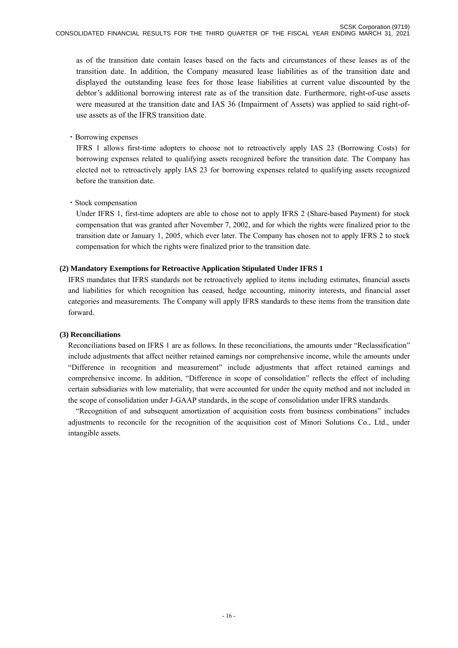as of the transition date contain leases based on the facts and circumstances of these leases as of the transition date. In addition, the Company measured lease liabilities as of the transition date and displayed the outstanding lease fees for those lease liabilities at current value discounted by the debtor's additional borrowing interest rate as of the transition date. Furthermore, right-of-use assets were measured at the transition date and IAS 36 (Impairment of Assets) was applied to said right-ofuse assets as of the IFRS transition date.

### ・Borrowing expenses

IFRS 1 allows first-time adopters to choose not to retroactively apply IAS 23 (Borrowing Costs) for borrowing expenses related to qualifying assets recognized before the transition date. The Company has elected not to retroactively apply IAS 23 for borrowing expenses related to qualifying assets recognized before the transition date.

# ・Stock compensation

Under IFRS 1, first-time adopters are able to chose not to apply IFRS 2 (Share-based Payment) for stock compensation that was granted after November 7, 2002, and for which the rights were finalized prior to the transition date or January 1, 2005, which ever later. The Company has chosen not to apply IFRS 2 to stock compensation for which the rights were finalized prior to the transition date.

# **(2) Mandatory Exemptions for Retroactive Application Stipulated Under IFRS 1**

IFRS mandates that IFRS standards not be retroactively applied to items including estimates, financial assets and liabilities for which recognition has ceased, hedge accounting, minority interests, and financial asset categories and measurements. The Company will apply IFRS standards to these items from the transition date forward.

### **(3) Reconciliations**

Reconciliations based on IFRS 1 are as follows. In these reconciliations, the amounts under "Reclassification" include adjustments that affect neither retained earnings nor comprehensive income, while the amounts under "Difference in recognition and measurement" include adjustments that affect retained earnings and comprehensive income. In addition, "Difference in scope of consolidation" reflects the effect of including certain subsidiaries with low materiality, that were accounted for under the equity method and not included in the scope of consolidation under J-GAAP standards, in the scope of consolidation under IFRS standards.

"Recognition of and subsequent amortization of acquisition costs from business combinations" includes adjustments to reconcile for the recognition of the acquisition cost of Minori Solutions Co., Ltd., under intangible assets.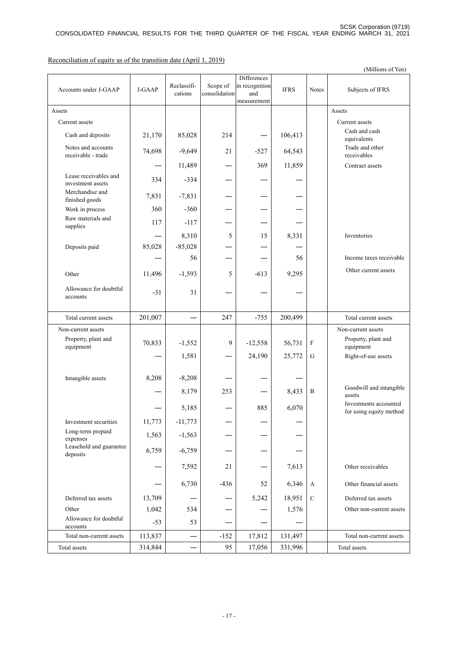(Millions of Yen) Accounts under J-GAAP J-GAAP Reclassifications Scope of consolidation **Differences** in recognition and measurement IFRS Notes Subjects of IFRS Assets and the contract of the contract of the contract of the contract of the contract of the contract of the contract of the contract of the contract of the contract of the contract of the contract of the contract of the Current assets **Current assets Current assets Current assets** Cash and deposits 21,170 85,028 214 — 106,413 Cash and cash equivalents Notes and accounts receivable - trade 74,698 -9,649 21 -527 64,543 Trade and other receivables —  $\begin{array}{|c|c|c|c|c|c|c|c|c|} \hline \text{11,489} & \text{---} & \text{369} & \text{11,859} & \text{---} & \text{Contract assets} \ \hline \end{array}$ Lease receivables and Lease receivables and<br>investment assets 334 -334 Merchandise and  $7,831$   $-7,831$   $-7,831$ Work in process  $360$  –360 Raw materials and  $\sum_{\text{supplies}}$   $\left| \begin{array}{ccc} 117 & -117 & -1 & -1 \end{array} \right|$ 8,310 5 15 8,331 Inventories Deposits paid  $85,028$  -85,028 ― 56 ― ― 56 Income taxes receivable Other 11,496 -1,593  $5$  -613 9,295 Other current assets Allowance for doubtful  $\frac{21}{4}$   $\frac{31}{4}$   $\frac{31}{4}$   $\frac{31}{4}$   $\frac{31}{4}$   $\frac{31}{4}$   $\frac{31}{4}$   $\frac{31}{4}$   $\frac{31}{4}$   $\frac{31}{4}$   $\frac{31}{4}$   $\frac{31}{4}$   $\frac{31}{4}$   $\frac{31}{4}$   $\frac{31}{4}$   $\frac{31}{4}$   $\frac{31}{4}$   $\frac{31}{4}$   $\frac{31}{4}$   $\frac{31}{4}$  Total current assets  $201,007$   $247$   $-755$   $200,499$  Total current assets Non-current assets and the set of the number of the number of the Non-current assets Non-current assets Property, plant and Property, plant and  $\begin{bmatrix} 70,833 \\ -1,552 \end{bmatrix}$  -1,552 -12,558 56,731 F Property, plant and equipment equipment  $1,581$  – 24,190 25,772 G Right-of-use assets Intangible assets  $8,208$  -8,208 ― 8,179 253 ― 8,433 B Goodwill and intangible assets  $5,185$   $-$  885 6,070 Investments accounted for using equity method Investment securities  $11,773$  -11,773 Long-term prepaid  $\begin{array}{c|c|c|c|c|c|c} \text{Log-ectin problem} & 1,563 & -1,563 & - & - & - & - \end{array}$ Leasehold and guarantee  $\begin{array}{c|c|c|c|c|c|c|c} \text{determinant} & 6,759 & -6,759 & - & - & - & - \end{array}$  $7,592$  21 — 7,613 Other receivables  $\begin{array}{|c|c|c|c|c|c|c|c|c|} \hline 6,730 & -436 & 52 & 6,346 & A & \text{Other financial assets} \ \hline \end{array}$ Deferred tax assets  $13,709$  —  $-$  5,242 18,951 C Deferred tax assets Other  $1,042$   $534$   $1,576$  Other non-current assets Allowance for doubtful  $\frac{20}{3}$   $\frac{53}{3}$   $\frac{53}{-}$   $\frac{-1}{-}$   $\frac{-1}{-}$ Total non-current assets 113,837 ― -152 17,812 131,497 Total non-current assets Total assets 1914,844 – 95 17,056 331,996 Total assets

Reconciliation of equity as of the transition date (April 1, 2019)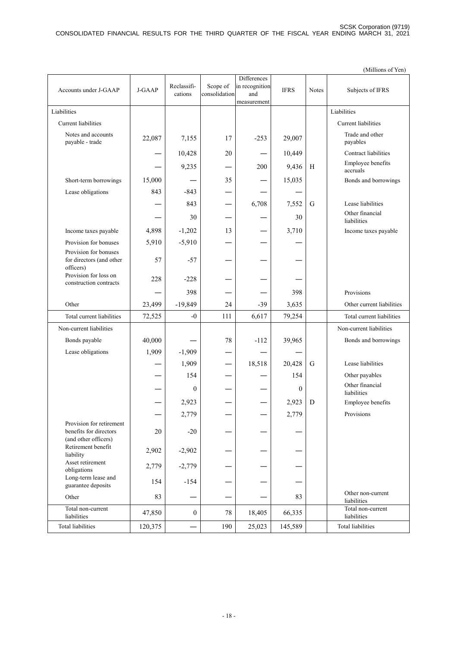| Accounts under J-GAAP                                                      | J-GAAP  | Reclassifi-<br>cations | Scope of<br>consolidation | Differences<br>in recognition<br>and<br>measurement | <b>IFRS</b>    | Notes | Subjects of IFRS                 |
|----------------------------------------------------------------------------|---------|------------------------|---------------------------|-----------------------------------------------------|----------------|-------|----------------------------------|
| Liabilities                                                                |         |                        |                           |                                                     |                |       | Liabilities                      |
| <b>Current</b> liabilities                                                 |         |                        |                           |                                                     |                |       | <b>Current</b> liabilities       |
| Notes and accounts<br>payable - trade                                      | 22,087  | 7,155                  | 17                        | $-253$                                              | 29,007         |       | Trade and other<br>payables      |
|                                                                            |         | 10,428                 | 20                        |                                                     | 10,449         |       | Contract liabilities             |
|                                                                            |         | 9,235                  |                           | 200                                                 | 9,436          | H     | Employee benefits<br>accruals    |
| Short-term borrowings                                                      | 15,000  |                        | 35                        |                                                     | 15,035         |       | Bonds and borrowings             |
| Lease obligations                                                          | 843     | $-843$                 |                           |                                                     |                |       |                                  |
|                                                                            |         | 843                    |                           | 6,708                                               | 7,552          | G     | Lease liabilities                |
|                                                                            |         | 30                     |                           |                                                     | 30             |       | Other financial<br>liabilities   |
| Income taxes payable                                                       | 4,898   | $-1,202$               | 13                        |                                                     | 3,710          |       | Income taxes payable             |
| Provision for bonuses                                                      | 5,910   | $-5,910$               |                           |                                                     |                |       |                                  |
| Provision for bonuses<br>for directors (and other<br>officers)             | 57      | $-57$                  |                           |                                                     |                |       |                                  |
| Provision for loss on<br>construction contracts                            | 228     | $-228$                 |                           |                                                     |                |       |                                  |
|                                                                            |         | 398                    |                           |                                                     | 398            |       | Provisions                       |
| Other                                                                      | 23,499  | $-19,849$              | 24                        | $-39$                                               | 3,635          |       | Other current liabilities        |
| Total current liabilities                                                  | 72,525  | $-0$                   | 111                       | 6,617                                               | 79,254         |       | Total current liabilities        |
| Non-current liabilities                                                    |         |                        |                           |                                                     |                |       | Non-current liabilities          |
| Bonds payable                                                              | 40,000  |                        | 78                        | $-112$                                              | 39,965         |       | Bonds and borrowings             |
| Lease obligations                                                          | 1,909   | $-1,909$               |                           |                                                     |                |       |                                  |
|                                                                            |         | 1,909                  |                           | 18,518                                              | 20,428         | G     | Lease liabilities                |
|                                                                            |         | 154                    |                           |                                                     | 154            |       | Other payables                   |
|                                                                            |         | $\mathbf{0}$           |                           |                                                     | $\overline{0}$ |       | Other financial<br>liabilities   |
|                                                                            |         | 2,923                  |                           |                                                     | 2,923          | D     | Employee benefits                |
|                                                                            |         | 2,779                  |                           |                                                     | 2,779          |       | Provisions                       |
| Provision for retirement<br>benefits for directors<br>(and other officers) | 20      | $-20$                  |                           |                                                     |                |       |                                  |
| Retirement benefit<br>liability                                            | 2,902   | $-2,902$               |                           |                                                     |                |       |                                  |
| Asset retirement<br>obligations                                            | 2,779   | $-2,779$               |                           |                                                     |                |       |                                  |
| Long-term lease and<br>guarantee deposits                                  | 154     | $-154$                 |                           |                                                     |                |       |                                  |
| Other                                                                      | 83      |                        |                           |                                                     | 83             |       | Other non-current<br>liabilities |
| Total non-current<br>liabilities                                           | 47,850  | $\boldsymbol{0}$       | 78                        | 18,405                                              | 66,335         |       | Total non-current<br>liabilities |
| <b>Total liabilities</b>                                                   | 120,375 |                        | 190                       | 25,023                                              | 145,589        |       | <b>Total liabilities</b>         |

(Millions of Yen)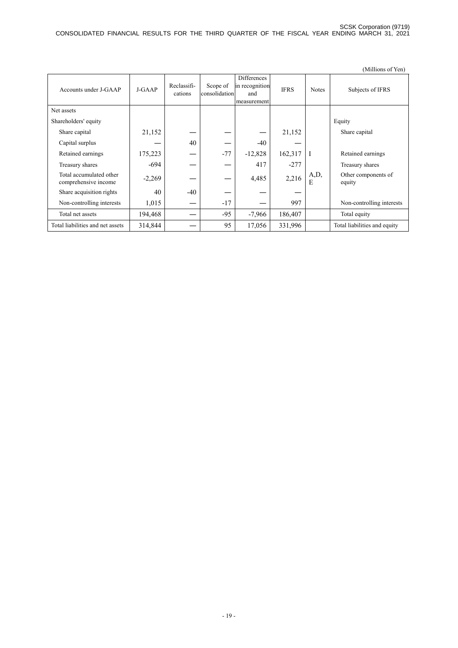|                                                 |          |                        |                           |                                                            |             |              | (Millions of Yen)             |
|-------------------------------------------------|----------|------------------------|---------------------------|------------------------------------------------------------|-------------|--------------|-------------------------------|
| Accounts under J-GAAP                           | $J-GAAP$ | Reclassifi-<br>cations | Scope of<br>consolidation | <b>Differences</b><br>in recognition<br>and<br>measurement | <b>IFRS</b> | <b>Notes</b> | Subjects of IFRS              |
| Net assets                                      |          |                        |                           |                                                            |             |              |                               |
| Shareholders' equity                            |          |                        |                           |                                                            |             |              | Equity                        |
| Share capital                                   | 21,152   |                        |                           |                                                            | 21,152      |              | Share capital                 |
| Capital surplus                                 |          | 40                     |                           | $-40$                                                      |             |              |                               |
| Retained earnings                               | 175,223  |                        | $-77$                     | $-12,828$                                                  | 162,317     | Ι            | Retained earnings             |
| Treasury shares                                 | -694     |                        |                           | 417                                                        | $-277$      |              | Treasury shares               |
| Total accumulated other<br>comprehensive income | $-2,269$ |                        |                           | 4,485                                                      | 2,216       | A,D,<br>E    | Other components of<br>equity |
| Share acquisition rights                        | 40       | $-40$                  |                           |                                                            |             |              |                               |
| Non-controlling interests                       | 1,015    |                        | $-17$                     |                                                            | 997         |              | Non-controlling interests     |
| Total net assets                                | 194,468  |                        | $-95$                     | $-7,966$                                                   | 186,407     |              | Total equity                  |
| Total liabilities and net assets                | 314,844  |                        | 95                        | 17,056                                                     | 331,996     |              | Total liabilities and equity  |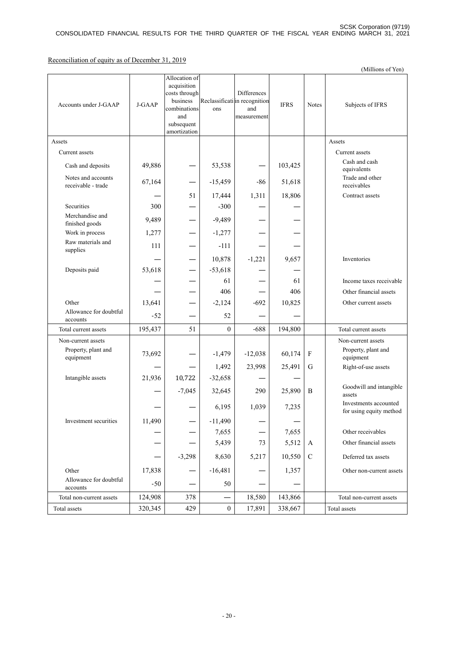# Reconciliation of equity as of December 31, 2019

|                                          |         |                                                                                                                |                |                                                                           |             |              | (Millions of Yen)                                |
|------------------------------------------|---------|----------------------------------------------------------------------------------------------------------------|----------------|---------------------------------------------------------------------------|-------------|--------------|--------------------------------------------------|
| Accounts under J-GAAP                    | J-GAAP  | Allocation of<br>acquisition<br>costs through<br>business<br>combinations<br>and<br>subsequent<br>amortization | ons            | <b>Differences</b><br>Reclassificati in recognition<br>and<br>measurement | <b>IFRS</b> | <b>Notes</b> | Subjects of IFRS                                 |
| Assets                                   |         |                                                                                                                |                |                                                                           |             |              | Assets                                           |
| Current assets                           |         |                                                                                                                |                |                                                                           |             |              | Current assets                                   |
| Cash and deposits                        | 49,886  |                                                                                                                | 53,538         |                                                                           | 103,425     |              | Cash and cash<br>equivalents                     |
| Notes and accounts<br>receivable - trade | 67,164  |                                                                                                                | $-15,459$      | $-86$                                                                     | 51,618      |              | Trade and other<br>receivables                   |
|                                          |         | 51                                                                                                             | 17,444         | 1,311                                                                     | 18,806      |              | Contract assets                                  |
| Securities                               | 300     |                                                                                                                | $-300$         |                                                                           |             |              |                                                  |
| Merchandise and<br>finished goods        | 9,489   |                                                                                                                | $-9,489$       |                                                                           |             |              |                                                  |
| Work in process                          | 1,277   |                                                                                                                | $-1,277$       |                                                                           |             |              |                                                  |
| Raw materials and<br>supplies            | 111     |                                                                                                                | $-111$         |                                                                           |             |              |                                                  |
|                                          |         |                                                                                                                | 10,878         | $-1,221$                                                                  | 9,657       |              | Inventories                                      |
| Deposits paid                            | 53,618  |                                                                                                                | $-53,618$      |                                                                           |             |              |                                                  |
|                                          |         |                                                                                                                | 61             |                                                                           | 61          |              | Income taxes receivable                          |
|                                          |         |                                                                                                                | 406            |                                                                           | 406         |              | Other financial assets                           |
| Other                                    | 13,641  |                                                                                                                | $-2,124$       | $-692$                                                                    | 10,825      |              | Other current assets                             |
| Allowance for doubtful<br>accounts       | $-52$   |                                                                                                                | 52             |                                                                           |             |              |                                                  |
| Total current assets                     | 195,437 | 51                                                                                                             | $\Omega$       | $-688$                                                                    | 194,800     |              | Total current assets                             |
| Non-current assets                       |         |                                                                                                                |                |                                                                           |             |              | Non-current assets                               |
| Property, plant and<br>equipment         | 73,692  |                                                                                                                | $-1,479$       | $-12,038$                                                                 | 60,174      | $\mathbf F$  | Property, plant and<br>equipment                 |
|                                          |         |                                                                                                                | 1,492          | 23,998                                                                    | 25,491      | G            | Right-of-use assets                              |
| Intangible assets                        | 21,936  | 10,722                                                                                                         | $-32,658$      |                                                                           |             |              |                                                  |
|                                          |         | $-7,045$                                                                                                       | 32,645         | 290                                                                       | 25,890      | B            | Goodwill and intangible<br>assets                |
|                                          |         |                                                                                                                | 6,195          | 1,039                                                                     | 7,235       |              | Investments accounted<br>for using equity method |
| Investment securities                    | 11,490  |                                                                                                                | $-11,490$      |                                                                           |             |              |                                                  |
|                                          |         |                                                                                                                | 7,655          |                                                                           | 7,655       |              | Other receivables                                |
|                                          |         |                                                                                                                | 5,439          | 73                                                                        | 5,512       | A            | Other financial assets                           |
|                                          |         | $-3,298$                                                                                                       | 8,630          | 5,217                                                                     | 10,550      | C            | Deferred tax assets                              |
| Other                                    | 17,838  |                                                                                                                | $-16,481$      |                                                                           | 1,357       |              | Other non-current assets                         |
| Allowance for doubtful<br>accounts       | $-50$   |                                                                                                                | 50             |                                                                           |             |              |                                                  |
| Total non-current assets                 | 124,908 | 378                                                                                                            |                | 18,580                                                                    | 143,866     |              | Total non-current assets                         |
| Total assets                             | 320,345 | 429                                                                                                            | $\overline{0}$ | 17,891                                                                    | 338,667     |              | Total assets                                     |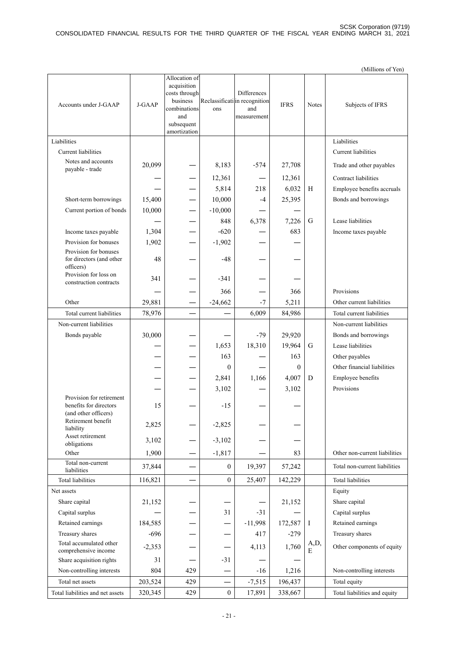|                                                              |          |                                                                                                                |                  |                                                                    |              |       | (Millions of Yen)             |
|--------------------------------------------------------------|----------|----------------------------------------------------------------------------------------------------------------|------------------|--------------------------------------------------------------------|--------------|-------|-------------------------------|
| Accounts under J-GAAP                                        | J-GAAP   | Allocation of<br>acquisition<br>costs through<br>business<br>combinations<br>and<br>subsequent<br>amortization | ons              | Differences<br>Reclassificati in recognition<br>and<br>measurement | <b>IFRS</b>  | Notes | Subjects of IFRS              |
| Liabilities                                                  |          |                                                                                                                |                  |                                                                    |              |       | Liabilities                   |
| <b>Current liabilities</b>                                   |          |                                                                                                                |                  |                                                                    |              |       | Current liabilities           |
| Notes and accounts                                           |          |                                                                                                                |                  |                                                                    |              |       |                               |
| payable - trade                                              | 20,099   |                                                                                                                | 8,183            | $-574$                                                             | 27,708       |       | Trade and other payables      |
|                                                              |          |                                                                                                                | 12,361           |                                                                    | 12,361       |       | Contract liabilities          |
|                                                              |          |                                                                                                                | 5,814            | 218                                                                | 6,032        | H     | Employee benefits accruals    |
| Short-term borrowings                                        | 15,400   |                                                                                                                | 10,000           | $-4$                                                               | 25,395       |       | Bonds and borrowings          |
| Current portion of bonds                                     | 10,000   |                                                                                                                | $-10,000$        |                                                                    |              |       |                               |
|                                                              |          |                                                                                                                | 848              | 6,378                                                              | 7,226        | G     | Lease liabilities             |
| Income taxes payable                                         | 1,304    |                                                                                                                | $-620$           |                                                                    | 683          |       | Income taxes payable          |
|                                                              |          |                                                                                                                |                  |                                                                    |              |       |                               |
| Provision for bonuses<br>Provision for bonuses               | 1,902    |                                                                                                                | $-1,902$         |                                                                    |              |       |                               |
| for directors (and other                                     | 48       |                                                                                                                | $-48$            |                                                                    |              |       |                               |
| officers)<br>Provision for loss on<br>construction contracts | 341      |                                                                                                                | -341             |                                                                    |              |       |                               |
|                                                              |          |                                                                                                                | 366              |                                                                    | 366          |       | Provisions                    |
|                                                              |          |                                                                                                                |                  | $-7$                                                               |              |       | Other current liabilities     |
| Other                                                        | 29,881   |                                                                                                                | $-24,662$        |                                                                    | 5,211        |       |                               |
| Total current liabilities                                    | 78,976   | -                                                                                                              |                  | 6,009                                                              | 84,986       |       | Total current liabilities     |
| Non-current liabilities                                      |          |                                                                                                                |                  |                                                                    |              |       | Non-current liabilities       |
| Bonds payable                                                | 30,000   |                                                                                                                |                  | $-79$                                                              | 29,920       |       | Bonds and borrowings          |
|                                                              |          |                                                                                                                | 1,653            | 18,310                                                             | 19,964       | G     | Lease liabilities             |
|                                                              |          |                                                                                                                | 163              |                                                                    | 163          |       | Other payables                |
|                                                              |          |                                                                                                                | $\theta$         |                                                                    | $\mathbf{0}$ |       | Other financial liabilities   |
|                                                              |          |                                                                                                                | 2,841            | 1,166                                                              | 4,007        | D     | Employee benefits             |
|                                                              |          |                                                                                                                | 3,102            |                                                                    | 3,102        |       | Provisions                    |
| Provision for retirement<br>benefits for directors           | 15       |                                                                                                                | $-15$            |                                                                    |              |       |                               |
| (and other officers)<br>Retirement benefit                   |          |                                                                                                                |                  |                                                                    |              |       |                               |
| liability                                                    | 2,825    |                                                                                                                | $-2,825$         |                                                                    |              |       |                               |
| Asset retirement<br>obligations                              | 3,102    |                                                                                                                | $-3,102$         |                                                                    |              |       |                               |
| Other                                                        | 1,900    |                                                                                                                | $-1,817$         |                                                                    | 83           |       | Other non-current liabilities |
| Total non-current<br>liabilities                             | 37,844   |                                                                                                                | $\overline{0}$   | 19,397                                                             | 57,242       |       | Total non-current liabilities |
| <b>Total liabilities</b>                                     | 116,821  |                                                                                                                | $\boldsymbol{0}$ | 25,407                                                             | 142,229      |       | <b>Total liabilities</b>      |
| Net assets                                                   |          |                                                                                                                |                  |                                                                    |              |       | Equity                        |
| Share capital                                                | 21,152   |                                                                                                                |                  |                                                                    | 21,152       |       | Share capital                 |
| Capital surplus                                              |          |                                                                                                                | 31               | $-31$                                                              |              |       | Capital surplus               |
| Retained earnings                                            | 184,585  |                                                                                                                |                  | $-11,998$                                                          | 172,587      | I     | Retained earnings             |
|                                                              |          |                                                                                                                |                  |                                                                    |              |       |                               |
| Treasury shares<br>Total accumulated other                   | $-696$   |                                                                                                                |                  | 417                                                                | $-279$       | A,D,  | Treasury shares               |
| comprehensive income                                         | $-2,353$ |                                                                                                                |                  | 4,113                                                              | 1,760        | E     | Other components of equity    |
| Share acquisition rights                                     | 31       |                                                                                                                | $-31$            |                                                                    |              |       |                               |
| Non-controlling interests                                    | 804      | 429                                                                                                            |                  | $-16$                                                              | 1,216        |       | Non-controlling interests     |
| Total net assets                                             | 203,524  | 429                                                                                                            |                  | $-7,515$                                                           | 196,437      |       | Total equity                  |
| Total liabilities and net assets                             | 320,345  | 429                                                                                                            | $\boldsymbol{0}$ | 17,891                                                             | 338,667      |       | Total liabilities and equity  |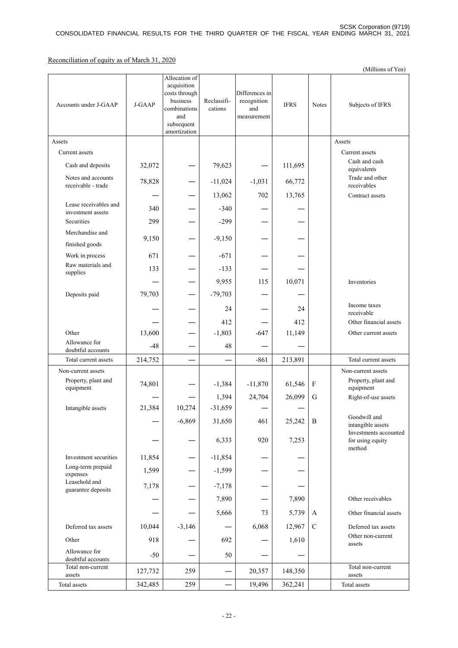Reconciliation of equity as of March 31, 2020

|                                            |         |                                                                                                                |                        |                                                     |             |               | (Millions of Yen)                                          |
|--------------------------------------------|---------|----------------------------------------------------------------------------------------------------------------|------------------------|-----------------------------------------------------|-------------|---------------|------------------------------------------------------------|
| Accounts under J-GAAP                      | J-GAAP  | Allocation of<br>acquisition<br>costs through<br>business<br>combinations<br>and<br>subsequent<br>amortization | Reclassifi-<br>cations | Differences in<br>recognition<br>and<br>measurement | <b>IFRS</b> | Notes         | Subjects of IFRS                                           |
| Assets                                     |         |                                                                                                                |                        |                                                     |             |               | Assets                                                     |
| Current assets                             |         |                                                                                                                |                        |                                                     |             |               | Current assets                                             |
| Cash and deposits                          | 32,072  |                                                                                                                | 79,623                 |                                                     | 111,695     |               | Cash and cash<br>equivalents                               |
| Notes and accounts<br>receivable - trade   | 78,828  |                                                                                                                | $-11,024$              | $-1,031$                                            | 66,772      |               | Trade and other<br>receivables                             |
|                                            |         |                                                                                                                | 13,062                 | 702                                                 | 13,765      |               | Contract assets                                            |
| Lease receivables and<br>investment assets | 340     |                                                                                                                | $-340$                 |                                                     |             |               |                                                            |
| Securities                                 | 299     |                                                                                                                | $-299$                 |                                                     |             |               |                                                            |
| Merchandise and                            | 9,150   |                                                                                                                | $-9,150$               |                                                     |             |               |                                                            |
| finished goods                             |         |                                                                                                                |                        |                                                     |             |               |                                                            |
| Work in process<br>Raw materials and       | 671     |                                                                                                                | $-671$                 |                                                     |             |               |                                                            |
| supplies                                   | 133     |                                                                                                                | $-133$                 |                                                     |             |               |                                                            |
|                                            |         |                                                                                                                | 9,955                  | 115                                                 | 10,071      |               | Inventories                                                |
| Deposits paid                              | 79,703  |                                                                                                                | $-79,703$              |                                                     |             |               | Income taxes                                               |
|                                            |         |                                                                                                                | 24                     |                                                     | 24          |               | receivable                                                 |
|                                            |         |                                                                                                                | 412                    |                                                     | 412         |               | Other financial assets                                     |
| Other                                      | 13,600  |                                                                                                                | $-1,803$               | $-647$                                              | 11,149      |               | Other current assets                                       |
| Allowance for<br>doubtful accounts         | $-48$   |                                                                                                                | 48                     |                                                     |             |               |                                                            |
| Total current assets                       | 214,752 |                                                                                                                |                        | $-861$                                              | 213,891     |               | Total current assets                                       |
| Non-current assets                         |         |                                                                                                                |                        |                                                     |             |               | Non-current assets                                         |
| Property, plant and<br>equipment           | 74,801  |                                                                                                                | $-1,384$               | $-11,870$                                           | 61,546      | ${\bf F}$     | Property, plant and<br>equipment                           |
|                                            |         |                                                                                                                | 1,394                  | 24,704                                              | 26,099      | G             | Right-of-use assets                                        |
| Intangible assets                          | 21,384  | 10,274                                                                                                         | $-31,659$              |                                                     |             |               |                                                            |
|                                            |         | $-6,869$                                                                                                       | 31,650                 | 461                                                 | 25,242      | B             | Goodwill and<br>intangible assets<br>Investments accounted |
|                                            |         |                                                                                                                | 6,333                  | 920                                                 | 7,253       |               | for using equity<br>method                                 |
| Investment securities                      | 11,854  |                                                                                                                | $-11,854$              |                                                     |             |               |                                                            |
| Long-term prepaid<br>expenses              | 1,599   |                                                                                                                | $-1,599$               |                                                     |             |               |                                                            |
| Leasehold and<br>guarantee deposits        | 7,178   |                                                                                                                | $-7,178$               |                                                     |             |               |                                                            |
|                                            |         |                                                                                                                | 7,890                  |                                                     | 7,890       |               | Other receivables                                          |
|                                            |         |                                                                                                                | 5,666                  | 73                                                  | 5,739       | A             | Other financial assets                                     |
| Deferred tax assets                        | 10,044  | $-3,146$                                                                                                       |                        | 6,068                                               | 12,967      | $\mathcal{C}$ | Deferred tax assets                                        |
| Other                                      | 918     |                                                                                                                | 692                    |                                                     | 1,610       |               | Other non-current<br>assets                                |
| Allowance for<br>doubtful accounts         | $-50$   |                                                                                                                | 50                     |                                                     |             |               |                                                            |
| Total non-current<br>assets                | 127,732 | 259                                                                                                            |                        | 20,357                                              | 148,350     |               | Total non-current<br>assets                                |
| Total assets                               | 342,485 | 259                                                                                                            |                        | 19,496                                              | 362,241     |               | Total assets                                               |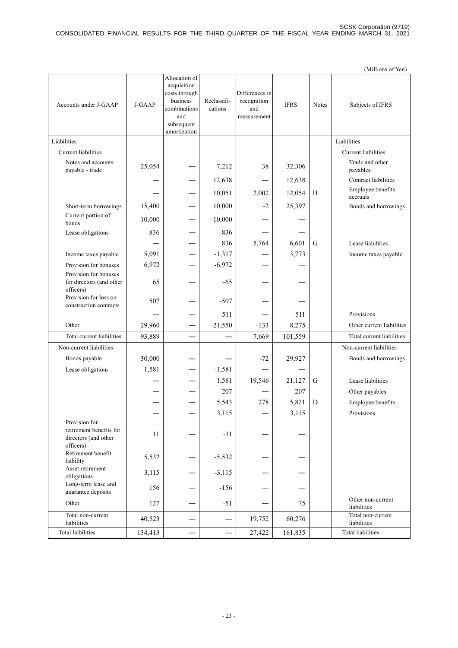|                                                                               |         |                                                                                                                |                        |                                                     |             |       | (Millions of Yen)                |
|-------------------------------------------------------------------------------|---------|----------------------------------------------------------------------------------------------------------------|------------------------|-----------------------------------------------------|-------------|-------|----------------------------------|
| Accounts under J-GAAP                                                         | J-GAAP  | Allocation of<br>acquisition<br>costs through<br>business<br>combinations<br>and<br>subsequent<br>amortization | Reclassifi-<br>cations | Differences in<br>recognition<br>and<br>measurement | <b>IFRS</b> | Notes | Subjects of IFRS                 |
| Liabilities                                                                   |         |                                                                                                                |                        |                                                     |             |       | Liabilities                      |
| <b>Current</b> liabilities                                                    |         |                                                                                                                |                        |                                                     |             |       | <b>Current</b> liabilities       |
| Notes and accounts<br>payable - trade                                         | 25,054  |                                                                                                                | 7,212                  | 38                                                  | 32,306      |       | Trade and other<br>payables      |
|                                                                               |         |                                                                                                                | 12,638                 |                                                     | 12,638      |       | Contract liabilities             |
|                                                                               |         |                                                                                                                | 10,051                 | 2,002                                               | 12,054      | H     | Employee benefits<br>accruals    |
| Short-term borrowings                                                         | 15,400  |                                                                                                                | 10,000                 | $-2$                                                | 25,397      |       | Bonds and borrowings             |
| Current portion of<br>bonds                                                   | 10,000  |                                                                                                                | $-10,000$              |                                                     |             |       |                                  |
| Lease obligations                                                             | 836     |                                                                                                                | $-836$                 |                                                     |             |       |                                  |
|                                                                               |         |                                                                                                                | 836                    | 5,764                                               | 6,601       | G     | Lease liabilities                |
| Income taxes payable                                                          | 5,091   |                                                                                                                | $-1,317$               |                                                     | 3,773       |       | Income taxes payable             |
| Provision for bonuses                                                         | 6,972   |                                                                                                                | $-6,972$               |                                                     |             |       |                                  |
| Provision for bonuses<br>for directors (and other<br>officers)                | 65      |                                                                                                                | $-65$                  |                                                     |             |       |                                  |
| Provision for loss on<br>construction contracts                               | 507     |                                                                                                                | $-507$                 |                                                     |             |       |                                  |
|                                                                               |         |                                                                                                                | 511                    |                                                     | 511         |       | Provisions                       |
| Other                                                                         | 29,960  |                                                                                                                | $-21,550$              | $-133$                                              | 8,275       |       | Other current liabilities        |
| Total current liabilities                                                     | 93,889  |                                                                                                                |                        | 7,669                                               | 101,559     |       | Total current liabilities        |
| Non-current liabilities                                                       |         |                                                                                                                |                        |                                                     |             |       | Non-current liabilities          |
| Bonds payable                                                                 | 30,000  |                                                                                                                |                        | $-72$                                               | 29,927      |       | Bonds and borrowings             |
| Lease obligations                                                             | 1,581   |                                                                                                                | $-1,581$               |                                                     |             |       |                                  |
|                                                                               |         |                                                                                                                | 1,581                  | 19,546                                              | 21,127      | G     | Lease liabilities                |
|                                                                               |         |                                                                                                                | 207                    |                                                     | 207         |       | Other payables                   |
|                                                                               |         |                                                                                                                | 5,543                  | 278                                                 | 5,821       | D     | Employee benefits                |
|                                                                               |         |                                                                                                                | 3,115                  |                                                     | 3,115       |       | Provisions                       |
| Provision for<br>retirement benefits for<br>directors (and other<br>officers) | 11      |                                                                                                                | $-11$                  |                                                     |             |       |                                  |
| Retirement benefit<br>liability                                               | 5,532   |                                                                                                                | $-5,532$               |                                                     |             |       |                                  |
| Asset retirement<br>obligations                                               | 3,115   |                                                                                                                | $-3,115$               |                                                     |             |       |                                  |
| Long-term lease and<br>guarantee deposits                                     | 156     |                                                                                                                | $-156$                 |                                                     |             |       |                                  |
| Other                                                                         | 127     |                                                                                                                | $-51$                  |                                                     | 75          |       | Other non-current<br>liabilities |
| Total non-current<br>liabilities                                              | 40,523  |                                                                                                                |                        | 19,752                                              | 60,276      |       | Total non-current<br>liabilities |
| <b>Total liabilities</b>                                                      | 134,413 |                                                                                                                |                        | 27,422                                              | 161,835     |       | <b>Total liabilities</b>         |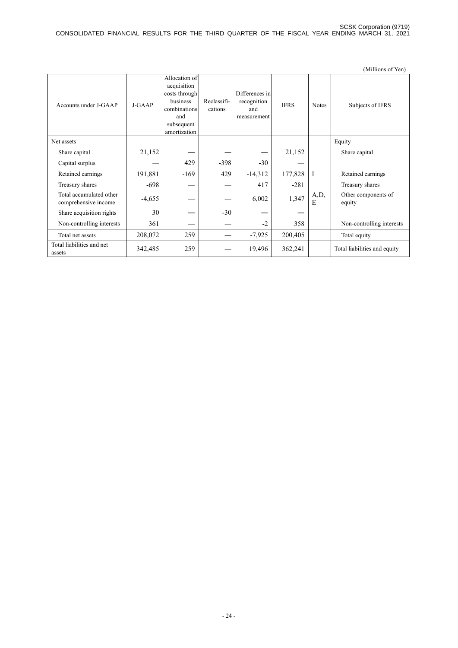|                                                 |          |                                                                                                                |                        |                                                     |             |              | (Millions of Yen)             |
|-------------------------------------------------|----------|----------------------------------------------------------------------------------------------------------------|------------------------|-----------------------------------------------------|-------------|--------------|-------------------------------|
| Accounts under J-GAAP                           | $J-GAAP$ | Allocation of<br>acquisition<br>costs through<br>business<br>combinations<br>and<br>subsequent<br>amortization | Reclassifi-<br>cations | Differences in<br>recognition<br>and<br>measurement | <b>IFRS</b> | <b>Notes</b> | Subjects of IFRS              |
| Net assets                                      |          |                                                                                                                |                        |                                                     |             |              | Equity                        |
| Share capital                                   | 21,152   |                                                                                                                |                        |                                                     | 21,152      |              | Share capital                 |
| Capital surplus                                 |          | 429                                                                                                            | $-398$                 | $-30$                                               |             |              |                               |
| Retained earnings                               | 191,881  | $-169$                                                                                                         | 429                    | $-14,312$                                           | 177,828     | I            | Retained earnings             |
| Treasury shares                                 | $-698$   |                                                                                                                |                        | 417                                                 | $-281$      |              | Treasury shares               |
| Total accumulated other<br>comprehensive income | $-4,655$ |                                                                                                                |                        | 6,002                                               | 1,347       | A,D,<br>E    | Other components of<br>equity |
| Share acquisition rights                        | 30       |                                                                                                                | $-30$                  |                                                     |             |              |                               |
| Non-controlling interests                       | 361      |                                                                                                                |                        | $-2$                                                | 358         |              | Non-controlling interests     |
| Total net assets                                | 208,072  | 259                                                                                                            |                        | $-7,925$                                            | 200,405     |              | Total equity                  |
| Total liabilities and net<br>assets             | 342,485  | 259                                                                                                            |                        | 19,496                                              | 362,241     |              | Total liabilities and equity  |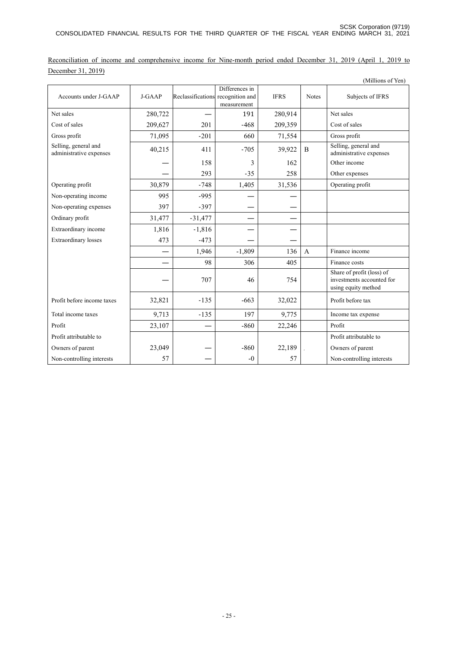Reconciliation of income and comprehensive income for Nine-month period ended December 31, 2019 (April 1, 2019 to December 31, 2019)

|                                                 |          |                                   |                               |             |              | (Millions of Yen)                                                             |
|-------------------------------------------------|----------|-----------------------------------|-------------------------------|-------------|--------------|-------------------------------------------------------------------------------|
| Accounts under J-GAAP                           | $J-GAAP$ | Reclassifications recognition and | Differences in<br>measurement | <b>IFRS</b> | <b>Notes</b> | Subjects of IFRS                                                              |
| Net sales                                       | 280,722  |                                   | 191                           | 280,914     |              | Net sales                                                                     |
| Cost of sales                                   | 209,627  | 201                               | $-468$                        | 209,359     |              | Cost of sales                                                                 |
| Gross profit                                    | 71,095   | $-201$                            | 660                           | 71,554      |              | Gross profit                                                                  |
| Selling, general and<br>administrative expenses | 40,215   | 411                               | $-705$                        | 39,922      | B            | Selling, general and<br>administrative expenses                               |
|                                                 |          | 158                               | 3                             | 162         |              | Other income                                                                  |
|                                                 |          | 293                               | $-35$                         | 258         |              | Other expenses                                                                |
| Operating profit                                | 30,879   | $-748$                            | 1,405                         | 31,536      |              | Operating profit                                                              |
| Non-operating income                            | 995      | $-995$                            |                               |             |              |                                                                               |
| Non-operating expenses                          | 397      | $-397$                            |                               |             |              |                                                                               |
| Ordinary profit                                 | 31,477   | $-31,477$                         |                               |             |              |                                                                               |
| Extraordinary income                            | 1,816    | $-1,816$                          |                               |             |              |                                                                               |
| <b>Extraordinary losses</b>                     | 473      | $-473$                            |                               |             |              |                                                                               |
|                                                 |          | 1,946                             | $-1,809$                      | 136         | $\mathbf{A}$ | Finance income                                                                |
|                                                 |          | 98                                | 306                           | 405         |              | Finance costs                                                                 |
|                                                 |          | 707                               | 46                            | 754         |              | Share of profit (loss) of<br>investments accounted for<br>using equity method |
| Profit before income taxes                      | 32,821   | $-135$                            | $-663$                        | 32,022      |              | Profit before tax                                                             |
| Total income taxes                              | 9,713    | $-135$                            | 197                           | 9,775       |              | Income tax expense                                                            |
| Profit                                          | 23,107   |                                   | $-860$                        | 22,246      |              | Profit                                                                        |
| Profit attributable to                          |          |                                   |                               |             |              | Profit attributable to                                                        |
| Owners of parent                                | 23,049   |                                   | $-860$                        | 22,189      |              | Owners of parent                                                              |
| Non-controlling interests                       | 57       |                                   | $-0$                          | 57          |              | Non-controlling interests                                                     |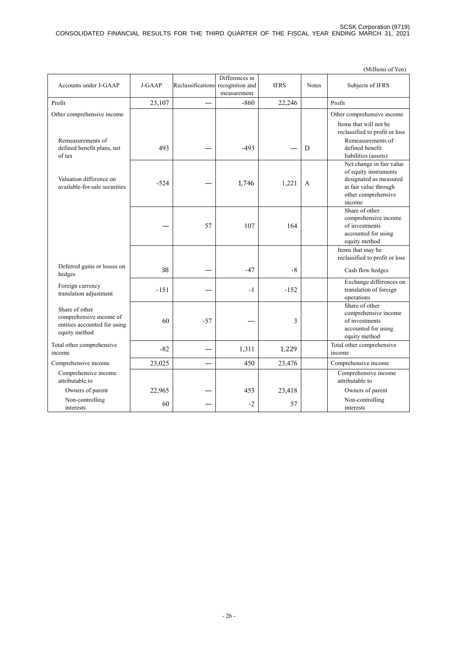|                                                         |        |                   |                 |             |              | (Millions of Yen)                       |
|---------------------------------------------------------|--------|-------------------|-----------------|-------------|--------------|-----------------------------------------|
|                                                         |        |                   | Differences in  |             |              |                                         |
| Accounts under J-GAAP                                   | J-GAAP | Reclassifications | recognition and | <b>IFRS</b> | <b>Notes</b> | Subjects of IFRS                        |
|                                                         |        |                   | measurement     |             |              |                                         |
| Profit                                                  | 23,107 |                   | $-860$          | 22,246      |              | Profit                                  |
| Other comprehensive income                              |        |                   |                 |             |              | Other comprehensive income              |
|                                                         |        |                   |                 |             |              | Items that will not be                  |
|                                                         |        |                   |                 |             |              | reclassified to profit or loss          |
| Remeasurements of                                       |        |                   |                 |             |              | Remeasurements of                       |
| defined benefit plans, net<br>of tax                    | 493    |                   | $-493$          |             | D            | defined benefit<br>liabilities (assets) |
|                                                         |        |                   |                 |             |              | Net change in fair value                |
|                                                         |        |                   |                 |             |              | of equity instruments                   |
| Valuation difference on                                 | $-524$ |                   | 1,746           | 1,221       | A            | designated as measured                  |
| available-for-sale securities                           |        |                   |                 |             |              | at fair value through                   |
|                                                         |        |                   |                 |             |              | other comprehensive                     |
|                                                         |        |                   |                 |             |              | income<br>Share of other                |
|                                                         |        |                   |                 |             |              | comprehensive income                    |
|                                                         |        | 57                | 107             | 164         |              | of investments                          |
|                                                         |        |                   |                 |             |              | accounted for using                     |
|                                                         |        |                   |                 |             |              | equity method                           |
|                                                         |        |                   |                 |             |              | Items that may be                       |
|                                                         |        |                   |                 |             |              | reclassified to profit or loss          |
| Deferred gains or losses on<br>hedges                   | 38     |                   | $-47$           | $-8$        |              | Cash flow hedges                        |
| Foreign currency                                        |        |                   |                 |             |              | Exchange differences on                 |
| translation adjustment                                  | $-151$ |                   | $-1$            | $-152$      |              | translation of foreign<br>operations    |
|                                                         |        |                   |                 |             |              | Share of other                          |
| Share of other                                          |        |                   |                 |             |              | comprehensive income                    |
| comprehensive income of<br>entities accounted for using | 60     | $-57$             |                 | 3           |              | of investments                          |
| equity method                                           |        |                   |                 |             |              | accounted for using                     |
|                                                         |        |                   |                 |             |              | equity method                           |
| Total other comprehensive<br>income                     | $-82$  |                   | 1,311           | 1,229       |              | Total other comprehensive<br>income     |
| Comprehensive income                                    | 23,025 |                   | 450             | 23,476      |              | Comprehensive income                    |
| Comprehensive income                                    |        |                   |                 |             |              | Comprehensive income                    |
| attributable to                                         |        |                   |                 |             |              | attributable to                         |
| Owners of parent                                        | 22,965 |                   | 453             | 23,418      |              | Owners of parent                        |
| Non-controlling<br>interests                            | 60     |                   | $-2$            | 57          |              | Non-controlling<br>interests            |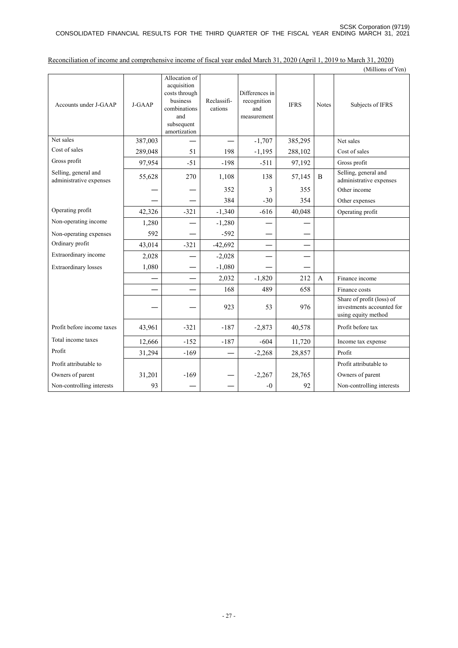|                                                 |          |                                                                                                                |                        |                                                     |             |                | (Millions of Yen)                                                             |
|-------------------------------------------------|----------|----------------------------------------------------------------------------------------------------------------|------------------------|-----------------------------------------------------|-------------|----------------|-------------------------------------------------------------------------------|
| Accounts under J-GAAP                           | $J-GAAP$ | Allocation of<br>acquisition<br>costs through<br>business<br>combinations<br>and<br>subsequent<br>amortization | Reclassifi-<br>cations | Differences in<br>recognition<br>and<br>measurement | <b>IFRS</b> | <b>Notes</b>   | Subjects of IFRS                                                              |
| Net sales                                       | 387,003  |                                                                                                                |                        | $-1,707$                                            | 385,295     |                | Net sales                                                                     |
| Cost of sales                                   | 289,048  | 51                                                                                                             | 198                    | $-1,195$                                            | 288,102     |                | Cost of sales                                                                 |
| Gross profit                                    | 97,954   | $-51$                                                                                                          | $-198$                 | $-511$                                              | 97,192      |                | Gross profit                                                                  |
| Selling, general and<br>administrative expenses | 55,628   | 270                                                                                                            | 1,108                  | 138                                                 | 57,145      | $\overline{B}$ | Selling, general and<br>administrative expenses                               |
|                                                 |          |                                                                                                                | 352                    | 3                                                   | 355         |                | Other income                                                                  |
|                                                 |          |                                                                                                                | 384                    | $-30$                                               | 354         |                | Other expenses                                                                |
| Operating profit                                | 42,326   | $-321$                                                                                                         | $-1,340$               | $-616$                                              | 40,048      |                | Operating profit                                                              |
| Non-operating income                            | 1,280    |                                                                                                                | $-1,280$               |                                                     |             |                |                                                                               |
| Non-operating expenses                          | 592      |                                                                                                                | $-592$                 |                                                     |             |                |                                                                               |
| Ordinary profit                                 | 43,014   | $-321$                                                                                                         | $-42,692$              |                                                     |             |                |                                                                               |
| Extraordinary income                            | 2,028    |                                                                                                                | $-2,028$               |                                                     |             |                |                                                                               |
| <b>Extraordinary</b> losses                     | 1,080    |                                                                                                                | $-1,080$               |                                                     |             |                |                                                                               |
|                                                 |          |                                                                                                                | 2,032                  | $-1,820$                                            | 212         | A              | Finance income                                                                |
|                                                 |          |                                                                                                                | 168                    | 489                                                 | 658         |                | Finance costs                                                                 |
|                                                 |          |                                                                                                                | 923                    | 53                                                  | 976         |                | Share of profit (loss) of<br>investments accounted for<br>using equity method |
| Profit before income taxes                      | 43,961   | $-321$                                                                                                         | $-187$                 | $-2,873$                                            | 40,578      |                | Profit before tax                                                             |
| Total income taxes                              | 12,666   | $-152$                                                                                                         | $-187$                 | $-604$                                              | 11,720      |                | Income tax expense                                                            |
| Profit                                          | 31,294   | $-169$                                                                                                         |                        | $-2,268$                                            | 28,857      |                | Profit                                                                        |
| Profit attributable to                          |          |                                                                                                                |                        |                                                     |             |                | Profit attributable to                                                        |
| Owners of parent                                | 31,201   | $-169$                                                                                                         |                        | $-2,267$                                            | 28,765      |                | Owners of parent                                                              |
| Non-controlling interests                       | 93       |                                                                                                                |                        | $-0$                                                | 92          |                | Non-controlling interests                                                     |

Reconciliation of income and comprehensive income of fiscal year ended March 31, 2020 (April 1, 2019 to March 31, 2020)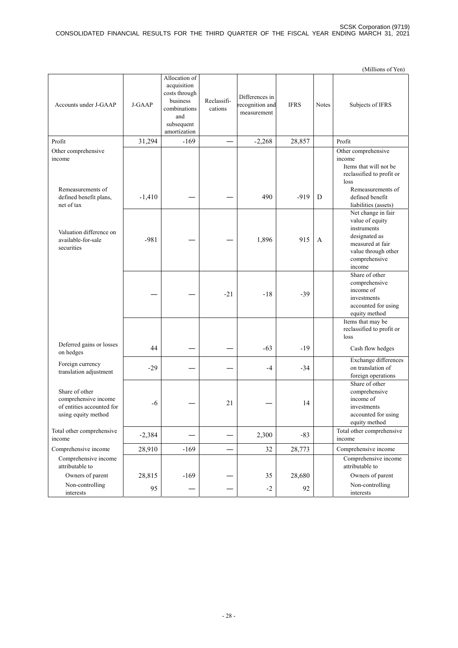(Millions of Yen) Accounts under J-GAAP J-GAAP Allocation of acquisition costs through business combinations and subsequent amortization Reclassifications Differences in recognition and measurement IFRS Notes Subjects of IFRS Profit 169 -169 — 2,268 28,857 Profit Other comprehensive Other comprehensive come of the comprehensive come of the comprehensive come of the comprehensive come of the come of the come of the come of the come of the come of the come of the come of the come of the come of the come income Items that will not be reclassified to profit or loss Remeasurements of defined benefit plans, net of tax  $-1,410$  – – – 490 – 919 D Remeasurements of defined benefit liabilities (assets) Valuation difference on available-for-sale securities  $-981$  –  $-1$  1,896 915 A Net change in fair value of equity instruments designated as measured at fair value through other comprehensive income —  $-21$   $-18$   $-39$ Share of other comprehensive income of investments accounted for using equity method Items that may be reclassified to profit or loss Deferred gains or losses  $\left[\begin{array}{ccc} 44 & - & - & -63 & -19 \\ 0 \text{n} & - & - & -1 \end{array}\right]$  Cash flow hedges Foreign currency Foreign currency<br>translation adjustment  $-29$   $-4$   $-34$ Exchange differences on translation of foreign operations Share of other comprehensive income of entities accounted for using equity method  $-6$  – 21 – 14 Share of other comprehensive income of investments accounted for using equity method Total other comprehensive Total other comprehensive  $-2,384$   $2,300$   $-83$   $\phantom{0}$  Total other comprehensive income income Comprehensive income  $\begin{vmatrix} 28,910 & -169 \end{vmatrix}$   $-169$   $-32$   $32$   $28,773$  Comprehensive income Comprehensive income Comprehensive income<br>attributable to attributable to attributable to attributable to attributable to attributable to Owners of parent 28,815 -169 -169 -169 35 28,680 Owners of parent Non-controlling interests 95 ― ― -2 92 Non-controlling interests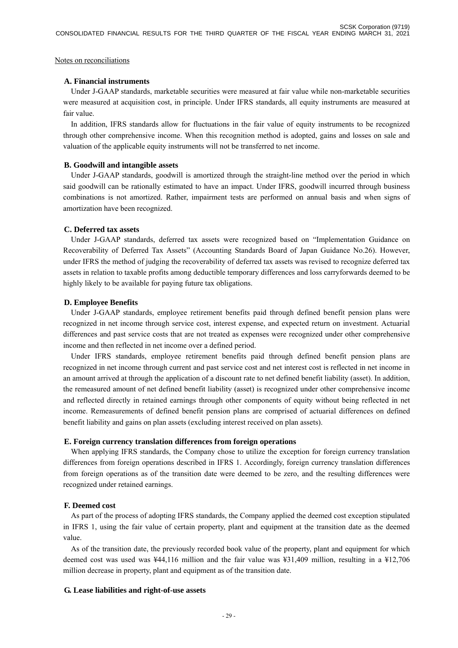#### Notes on reconciliations

#### **A. Financial instruments**

Under J-GAAP standards, marketable securities were measured at fair value while non-marketable securities were measured at acquisition cost, in principle. Under IFRS standards, all equity instruments are measured at fair value.

In addition, IFRS standards allow for fluctuations in the fair value of equity instruments to be recognized through other comprehensive income. When this recognition method is adopted, gains and losses on sale and valuation of the applicable equity instruments will not be transferred to net income.

#### **B. Goodwill and intangible assets**

Under J-GAAP standards, goodwill is amortized through the straight-line method over the period in which said goodwill can be rationally estimated to have an impact. Under IFRS, goodwill incurred through business combinations is not amortized. Rather, impairment tests are performed on annual basis and when signs of amortization have been recognized.

#### **C. Deferred tax assets**

Under J-GAAP standards, deferred tax assets were recognized based on "Implementation Guidance on Recoverability of Deferred Tax Assets" (Accounting Standards Board of Japan Guidance No.26). However, under IFRS the method of judging the recoverability of deferred tax assets was revised to recognize deferred tax assets in relation to taxable profits among deductible temporary differences and loss carryforwards deemed to be highly likely to be available for paying future tax obligations.

#### **D. Employee Benefits**

Under J-GAAP standards, employee retirement benefits paid through defined benefit pension plans were recognized in net income through service cost, interest expense, and expected return on investment. Actuarial differences and past service costs that are not treated as expenses were recognized under other comprehensive income and then reflected in net income over a defined period.

Under IFRS standards, employee retirement benefits paid through defined benefit pension plans are recognized in net income through current and past service cost and net interest cost is reflected in net income in an amount arrived at through the application of a discount rate to net defined benefit liability (asset). In addition, the remeasured amount of net defined benefit liability (asset) is recognized under other comprehensive income and reflected directly in retained earnings through other components of equity without being reflected in net income. Remeasurements of defined benefit pension plans are comprised of actuarial differences on defined benefit liability and gains on plan assets (excluding interest received on plan assets).

#### **E. Foreign currency translation differences from foreign operations**

When applying IFRS standards, the Company chose to utilize the exception for foreign currency translation differences from foreign operations described in IFRS 1. Accordingly, foreign currency translation differences from foreign operations as of the transition date were deemed to be zero, and the resulting differences were recognized under retained earnings.

#### **F. Deemed cost**

As part of the process of adopting IFRS standards, the Company applied the deemed cost exception stipulated in IFRS 1, using the fair value of certain property, plant and equipment at the transition date as the deemed value.

As of the transition date, the previously recorded book value of the property, plant and equipment for which deemed cost was used was ¥44,116 million and the fair value was ¥31,409 million, resulting in a ¥12,706 million decrease in property, plant and equipment as of the transition date.

#### **G. Lease liabilities and right-of-use assets**